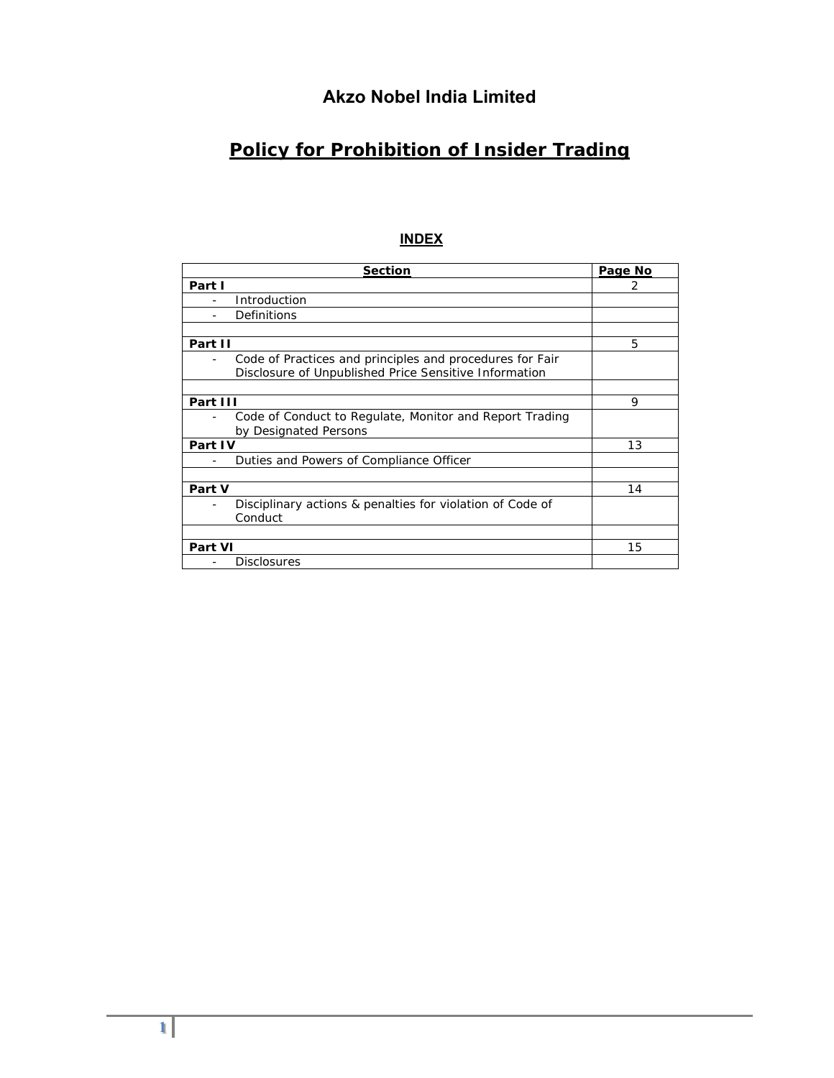# **Akzo Nobel India Limited**

# **Policy for Prohibition of Insider Trading**

# **INDEX**

| <b>Section</b>                                                                                                    | Page No |
|-------------------------------------------------------------------------------------------------------------------|---------|
| Part I                                                                                                            | 2       |
| Introduction                                                                                                      |         |
| Definitions                                                                                                       |         |
|                                                                                                                   |         |
| Part II                                                                                                           | 5       |
| Code of Practices and principles and procedures for Fair<br>Disclosure of Unpublished Price Sensitive Information |         |
|                                                                                                                   |         |
| Part III                                                                                                          | 9       |
| Code of Conduct to Regulate, Monitor and Report Trading<br>by Designated Persons                                  |         |
| Part IV                                                                                                           | 13      |
| Duties and Powers of Compliance Officer                                                                           |         |
|                                                                                                                   |         |
| Part V                                                                                                            | 14      |
| Disciplinary actions & penalties for violation of Code of<br>Conduct                                              |         |
|                                                                                                                   |         |
| <b>Part VI</b>                                                                                                    | 15      |
| <b>Disclosures</b>                                                                                                |         |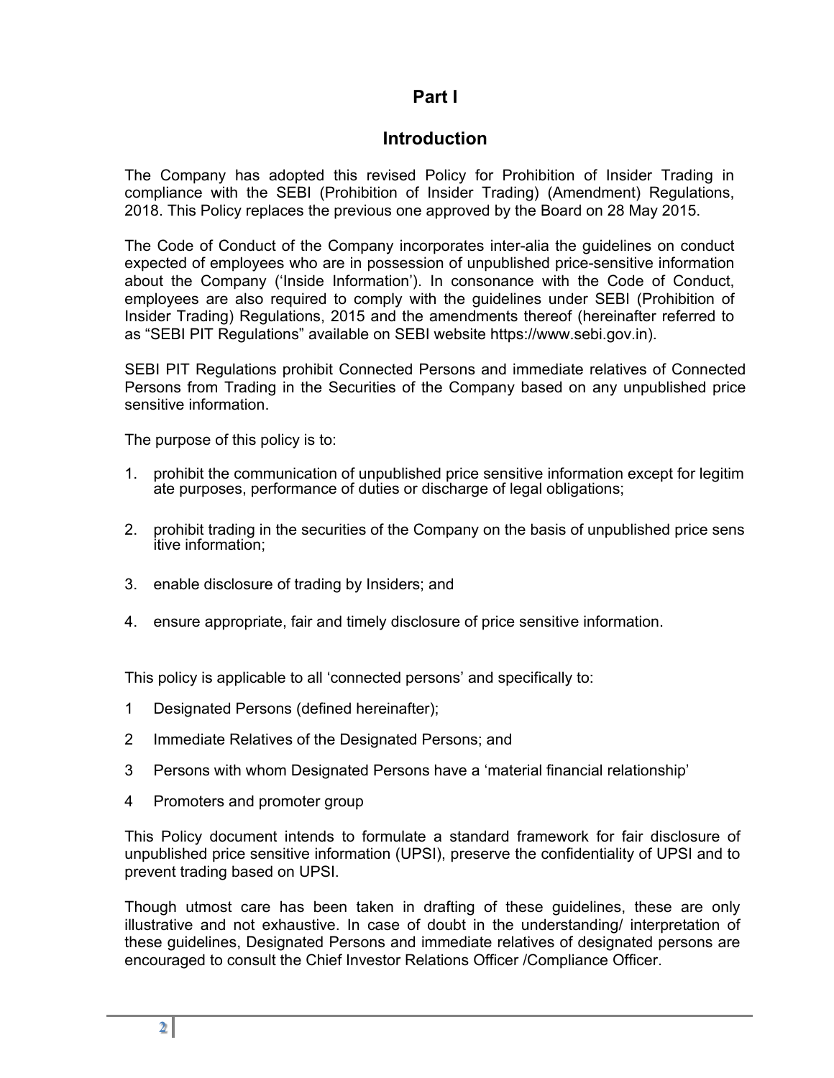# **Part I**

# **Introduction**

The Company has adopted this revised Policy for Prohibition of Insider Trading in compliance with the SEBI (Prohibition of Insider Trading) (Amendment) Regulations, 2018. This Policy replaces the previous one approved by the Board on 28 May 2015.

The Code of Conduct of the Company incorporates inter-alia the guidelines on conduct expected of employees who are in possession of unpublished price-sensitive information about the Company ('Inside Information'). In consonance with the Code of Conduct, employees are also required to comply with the guidelines under SEBI (Prohibition of Insider Trading) Regulations, 2015 and the amendments thereof (hereinafter referred to as "SEBI PIT Regulations" available on SEBI website https://www.sebi.gov.in).

SEBI PIT Regulations prohibit Connected Persons and immediate relatives of Connected Persons from Trading in the Securities of the Company based on any unpublished price sensitive information.

The purpose of this policy is to:

- 1. prohibit the communication of unpublished price sensitive information except for legitim ate purposes, performance of duties or discharge of legal obligations;
- 2. prohibit trading in the securities of the Company on the basis of unpublished price sens itive information;
- 3. enable disclosure of trading by Insiders; and
- 4. ensure appropriate, fair and timely disclosure of price sensitive information.

This policy is applicable to all 'connected persons' and specifically to:

- 1 Designated Persons (defined hereinafter);
- 2 Immediate Relatives of the Designated Persons; and
- 3 Persons with whom Designated Persons have a 'material financial relationship'
- 4 Promoters and promoter group

This Policy document intends to formulate a standard framework for fair disclosure of unpublished price sensitive information (UPSI), preserve the confidentiality of UPSI and to prevent trading based on UPSI.

Though utmost care has been taken in drafting of these guidelines, these are only illustrative and not exhaustive. In case of doubt in the understanding/ interpretation of these guidelines, Designated Persons and immediate relatives of designated persons are encouraged to consult the Chief Investor Relations Officer /Compliance Officer.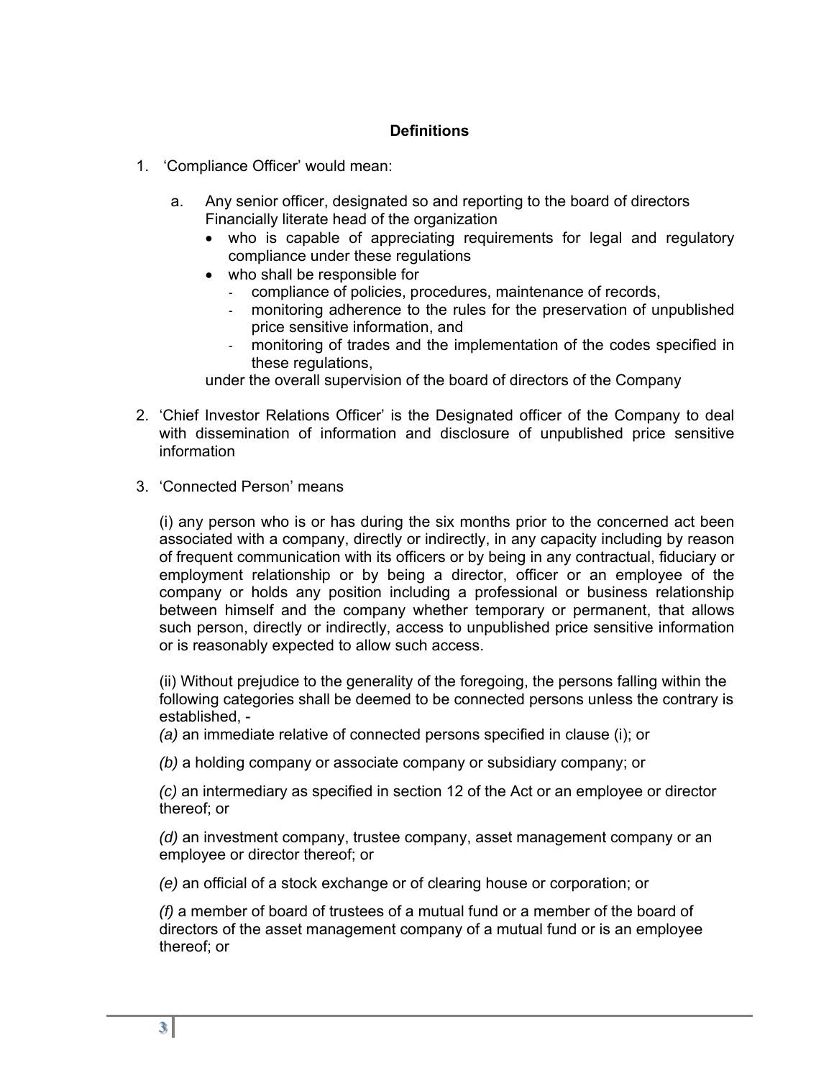# **Definitions**

- 1. 'Compliance Officer' would mean:
	- a. Any senior officer, designated so and reporting to the board of directors Financially literate head of the organization
		- who is capable of appreciating requirements for legal and regulatory compliance under these regulations
		- who shall be responsible for
			- ‐ compliance of policies, procedures, maintenance of records,
			- ‐ monitoring adherence to the rules for the preservation of unpublished price sensitive information, and
			- ‐ monitoring of trades and the implementation of the codes specified in these regulations,

under the overall supervision of the board of directors of the Company

- 2. 'Chief Investor Relations Officer' is the Designated officer of the Company to deal with dissemination of information and disclosure of unpublished price sensitive information
- 3. 'Connected Person' means

(i) any person who is or has during the six months prior to the concerned act been associated with a company, directly or indirectly, in any capacity including by reason of frequent communication with its officers or by being in any contractual, fiduciary or employment relationship or by being a director, officer or an employee of the company or holds any position including a professional or business relationship between himself and the company whether temporary or permanent, that allows such person, directly or indirectly, access to unpublished price sensitive information or is reasonably expected to allow such access.

(ii) Without prejudice to the generality of the foregoing, the persons falling within the following categories shall be deemed to be connected persons unless the contrary is established, -

*(a)* an immediate relative of connected persons specified in clause (i); or

*(b)* a holding company or associate company or subsidiary company; or

*(c)* an intermediary as specified in section 12 of the Act or an employee or director thereof; or

*(d)* an investment company, trustee company, asset management company or an employee or director thereof; or

*(e)* an official of a stock exchange or of clearing house or corporation; or

*(f)* a member of board of trustees of a mutual fund or a member of the board of directors of the asset management company of a mutual fund or is an employee thereof; or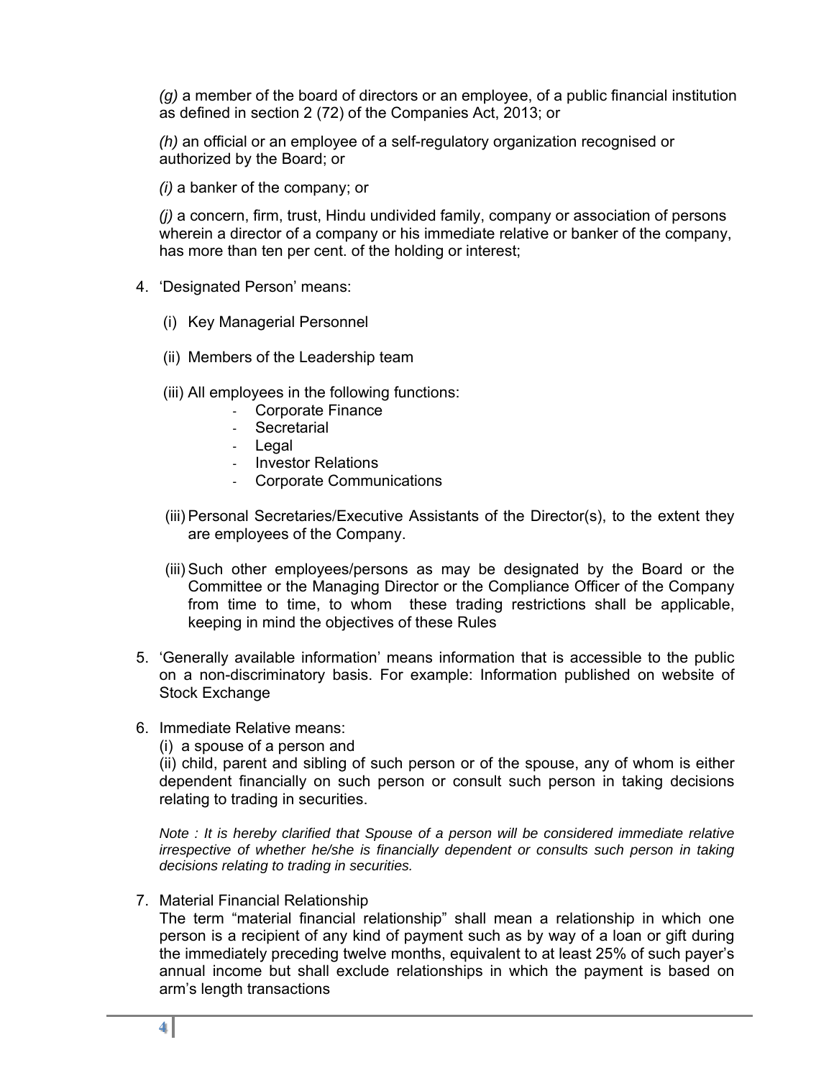*(g)* a member of the board of directors or an employee, of a public financial institution as defined in section 2 (72) of the Companies Act, 2013; or

*(h)* an official or an employee of a self-regulatory organization recognised or authorized by the Board; or

*(i)* a banker of the company; or

*(j)* a concern, firm, trust, Hindu undivided family, company or association of persons wherein a director of a company or his immediate relative or banker of the company, has more than ten per cent. of the holding or interest;

- 4. 'Designated Person' means:
	- (i) Key Managerial Personnel
	- (ii) Members of the Leadership team
	- (iii) All employees in the following functions:
		- ‐ Corporate Finance
		- ‐ Secretarial
		- ‐ Legal
		- ‐ Investor Relations
		- ‐ Corporate Communications
	- (iii) Personal Secretaries/Executive Assistants of the Director(s), to the extent they are employees of the Company.
	- (iii) Such other employees/persons as may be designated by the Board or the Committee or the Managing Director or the Compliance Officer of the Company from time to time, to whom these trading restrictions shall be applicable, keeping in mind the objectives of these Rules
- 5. 'Generally available information' means information that is accessible to the public on a non-discriminatory basis. For example: Information published on website of Stock Exchange
- 6. Immediate Relative means:

(i) a spouse of a person and

(ii) child, parent and sibling of such person or of the spouse, any of whom is either dependent financially on such person or consult such person in taking decisions relating to trading in securities.

*Note : It is hereby clarified that Spouse of a person will be considered immediate relative irrespective of whether he/she is financially dependent or consults such person in taking decisions relating to trading in securities.* 

7. Material Financial Relationship

The term "material financial relationship" shall mean a relationship in which one person is a recipient of any kind of payment such as by way of a loan or gift during the immediately preceding twelve months, equivalent to at least 25% of such payer's annual income but shall exclude relationships in which the payment is based on arm's length transactions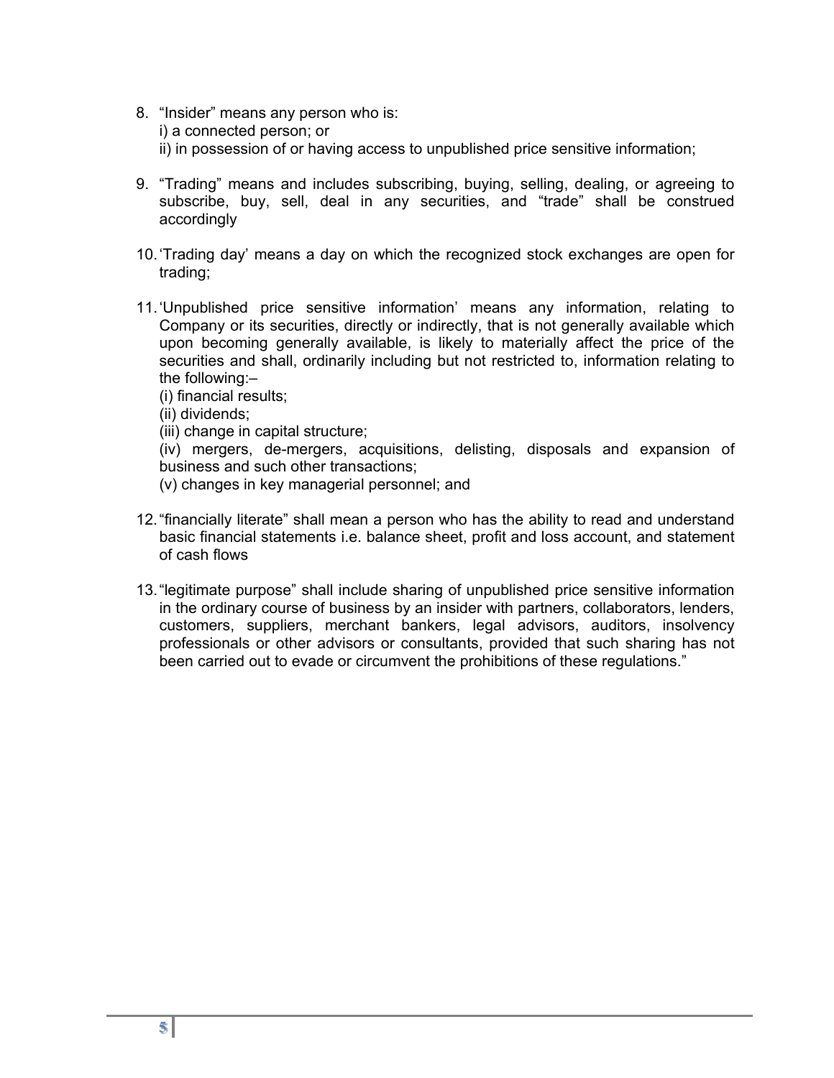- 8. "Insider" means any person who is: i) a connected person; or ii) in possession of or having access to unpublished price sensitive information;
- 9. "Trading" means and includes subscribing, buying, selling, dealing, or agreeing to subscribe, buy, sell, deal in any securities, and "trade" shall be construed accordingly
- 10. 'Trading day' means a day on which the recognized stock exchanges are open for trading;
- 11. 'Unpublished price sensitive information' means any information, relating to Company or its securities, directly or indirectly, that is not generally available which upon becoming generally available, is likely to materially affect the price of the securities and shall, ordinarily including but not restricted to, information relating to the following:–
	- (i) financial results;
	- (ii) dividends;
	- (iii) change in capital structure;

(iv) mergers, de-mergers, acquisitions, delisting, disposals and expansion of business and such other transactions;

- (v) changes in key managerial personnel; and
- 12. "financially literate" shall mean a person who has the ability to read and understand basic financial statements i.e. balance sheet, profit and loss account, and statement of cash flows
- 13. "legitimate purpose" shall include sharing of unpublished price sensitive information in the ordinary course of business by an insider with partners, collaborators, lenders, customers, suppliers, merchant bankers, legal advisors, auditors, insolvency professionals or other advisors or consultants, provided that such sharing has not been carried out to evade or circumvent the prohibitions of these regulations."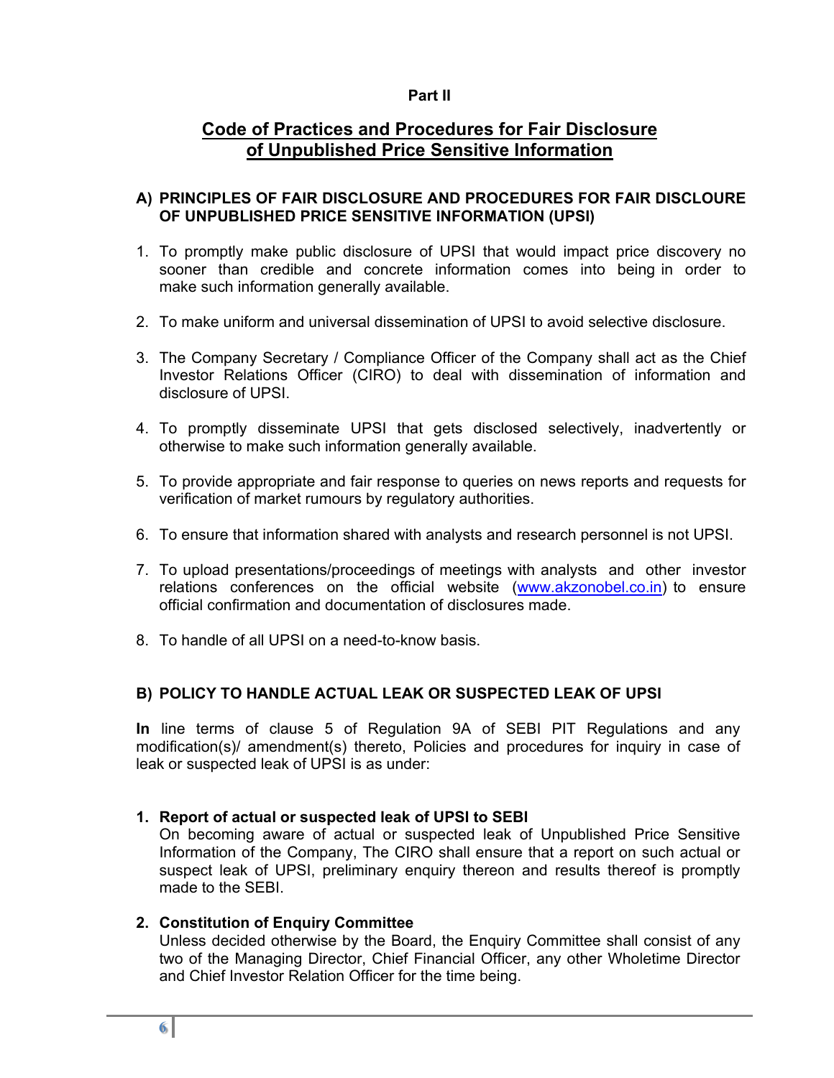# **Part II**

# **Code of Practices and Procedures for Fair Disclosure of Unpublished Price Sensitive Information**

# **A) PRINCIPLES OF FAIR DISCLOSURE AND PROCEDURES FOR FAIR DISCLOURE OF UNPUBLISHED PRICE SENSITIVE INFORMATION (UPSI)**

- 1. To promptly make public disclosure of UPSI that would impact price discovery no sooner than credible and concrete information comes into being in order to make such information generally available.
- 2. To make uniform and universal dissemination of UPSI to avoid selective disclosure.
- 3. The Company Secretary / Compliance Officer of the Company shall act as the Chief Investor Relations Officer (CIRO) to deal with dissemination of information and disclosure of UPSI.
- 4. To promptly disseminate UPSI that gets disclosed selectively, inadvertently or otherwise to make such information generally available.
- 5. To provide appropriate and fair response to queries on news reports and requests for verification of market rumours by regulatory authorities.
- 6. To ensure that information shared with analysts and research personnel is not UPSI.
- 7. To upload presentations/proceedings of meetings with analysts and other investor relations conferences on the official website (www.akzonobel.co.in) to ensure official confirmation and documentation of disclosures made.
- 8. To handle of all UPSI on a need-to-know basis.

# **B) POLICY TO HANDLE ACTUAL LEAK OR SUSPECTED LEAK OF UPSI**

**In** line terms of clause 5 of Regulation 9A of SEBI PIT Regulations and any modification(s)/ amendment(s) thereto, Policies and procedures for inquiry in case of leak or suspected leak of UPSI is as under:

### **1. Report of actual or suspected leak of UPSI to SEBI**

On becoming aware of actual or suspected leak of Unpublished Price Sensitive Information of the Company, The CIRO shall ensure that a report on such actual or suspect leak of UPSI, preliminary enquiry thereon and results thereof is promptly made to the SEBI.

# **2. Constitution of Enquiry Committee**

Unless decided otherwise by the Board, the Enquiry Committee shall consist of any two of the Managing Director, Chief Financial Officer, any other Wholetime Director and Chief Investor Relation Officer for the time being.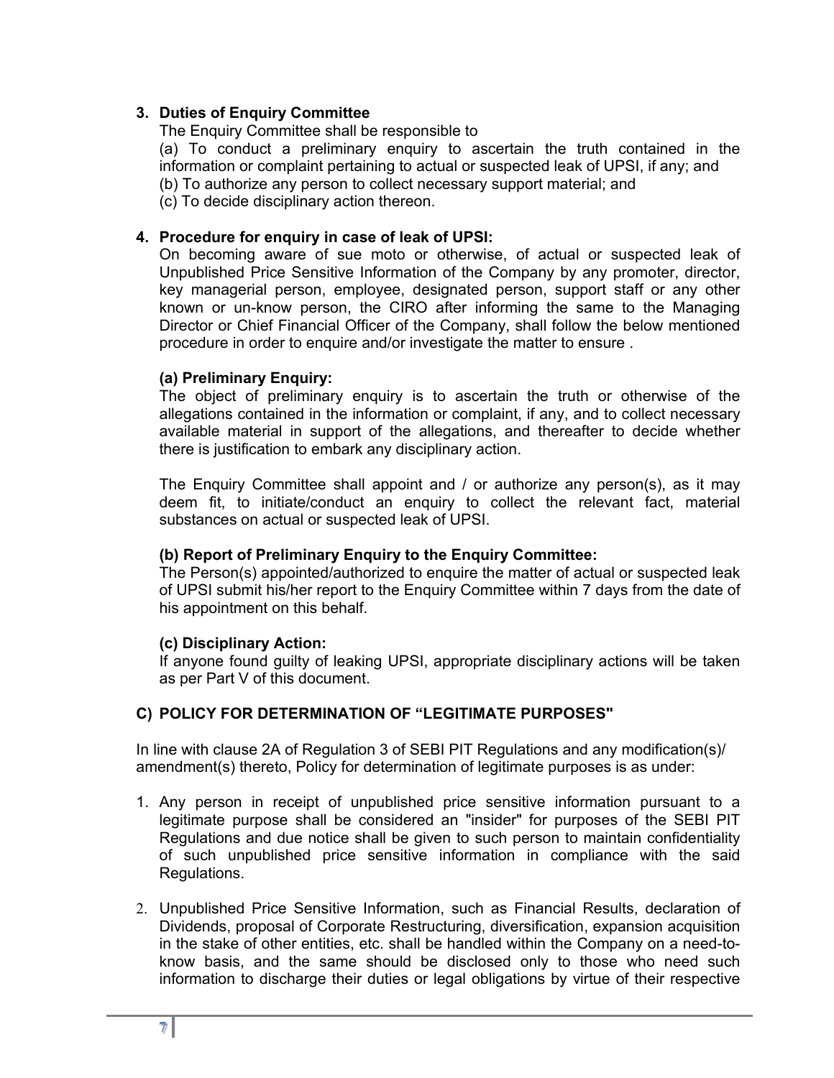# **3. Duties of Enquiry Committee**

The Enquiry Committee shall be responsible to

(a) To conduct a preliminary enquiry to ascertain the truth contained in the information or complaint pertaining to actual or suspected leak of UPSI, if any; and (b) To authorize any person to collect necessary support material; and

(c) To decide disciplinary action thereon.

### **4. Procedure for enquiry in case of leak of UPSI:**

On becoming aware of sue moto or otherwise, of actual or suspected leak of Unpublished Price Sensitive Information of the Company by any promoter, director, key managerial person, employee, designated person, support staff or any other known or un-know person, the CIRO after informing the same to the Managing Director or Chief Financial Officer of the Company, shall follow the below mentioned procedure in order to enquire and/or investigate the matter to ensure .

### **(a) Preliminary Enquiry:**

The object of preliminary enquiry is to ascertain the truth or otherwise of the allegations contained in the information or complaint, if any, and to collect necessary available material in support of the allegations, and thereafter to decide whether there is justification to embark any disciplinary action.

The Enquiry Committee shall appoint and / or authorize any person(s), as it may deem fit, to initiate/conduct an enquiry to collect the relevant fact, material substances on actual or suspected leak of UPSI.

### **(b) Report of Preliminary Enquiry to the Enquiry Committee:**

The Person(s) appointed/authorized to enquire the matter of actual or suspected leak of UPSI submit his/her report to the Enquiry Committee within 7 days from the date of his appointment on this behalf.

#### **(c) Disciplinary Action:**

If anyone found guilty of leaking UPSI, appropriate disciplinary actions will be taken as per Part V of this document.

### **C) POLICY FOR DETERMINATION OF "LEGITIMATE PURPOSES"**

In line with clause 2A of Regulation 3 of SEBI PIT Regulations and any modification(s)/ amendment(s) thereto, Policy for determination of legitimate purposes is as under:

- 1. Any person in receipt of unpublished price sensitive information pursuant to a legitimate purpose shall be considered an "insider" for purposes of the SEBI PIT Regulations and due notice shall be given to such person to maintain confidentiality of such unpublished price sensitive information in compliance with the said Regulations.
- 2. Unpublished Price Sensitive Information, such as Financial Results, declaration of Dividends, proposal of Corporate Restructuring, diversification, expansion acquisition in the stake of other entities, etc. shall be handled within the Company on a need-toknow basis, and the same should be disclosed only to those who need such information to discharge their duties or legal obligations by virtue of their respective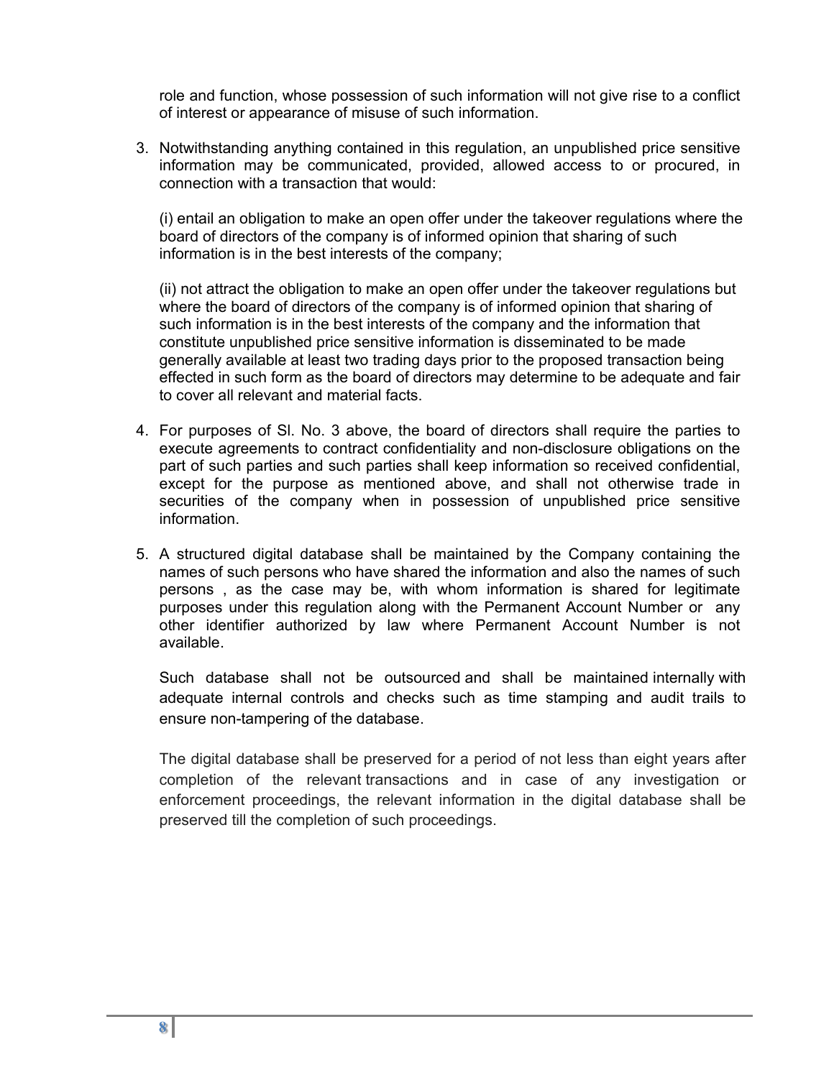role and function, whose possession of such information will not give rise to a conflict of interest or appearance of misuse of such information.

3. Notwithstanding anything contained in this regulation, an unpublished price sensitive information may be communicated, provided, allowed access to or procured, in connection with a transaction that would:

(i) entail an obligation to make an open offer under the takeover regulations where the board of directors of the company is of informed opinion that sharing of such information is in the best interests of the company;

(ii) not attract the obligation to make an open offer under the takeover regulations but where the board of directors of the company is of informed opinion that sharing of such information is in the best interests of the company and the information that constitute unpublished price sensitive information is disseminated to be made generally available at least two trading days prior to the proposed transaction being effected in such form as the board of directors may determine to be adequate and fair to cover all relevant and material facts.

- 4. For purposes of Sl. No. 3 above, the board of directors shall require the parties to execute agreements to contract confidentiality and non-disclosure obligations on the part of such parties and such parties shall keep information so received confidential, except for the purpose as mentioned above, and shall not otherwise trade in securities of the company when in possession of unpublished price sensitive information.
- 5. A structured digital database shall be maintained by the Company containing the names of such persons who have shared the information and also the names of such persons , as the case may be, with whom information is shared for legitimate purposes under this regulation along with the Permanent Account Number or any other identifier authorized by law where Permanent Account Number is not available.

Such database shall not be outsourced and shall be maintained internally with adequate internal controls and checks such as time stamping and audit trails to ensure non-tampering of the database.

The digital database shall be preserved for a period of not less than eight years after completion of the relevant transactions and in case of any investigation or enforcement proceedings, the relevant information in the digital database shall be preserved till the completion of such proceedings.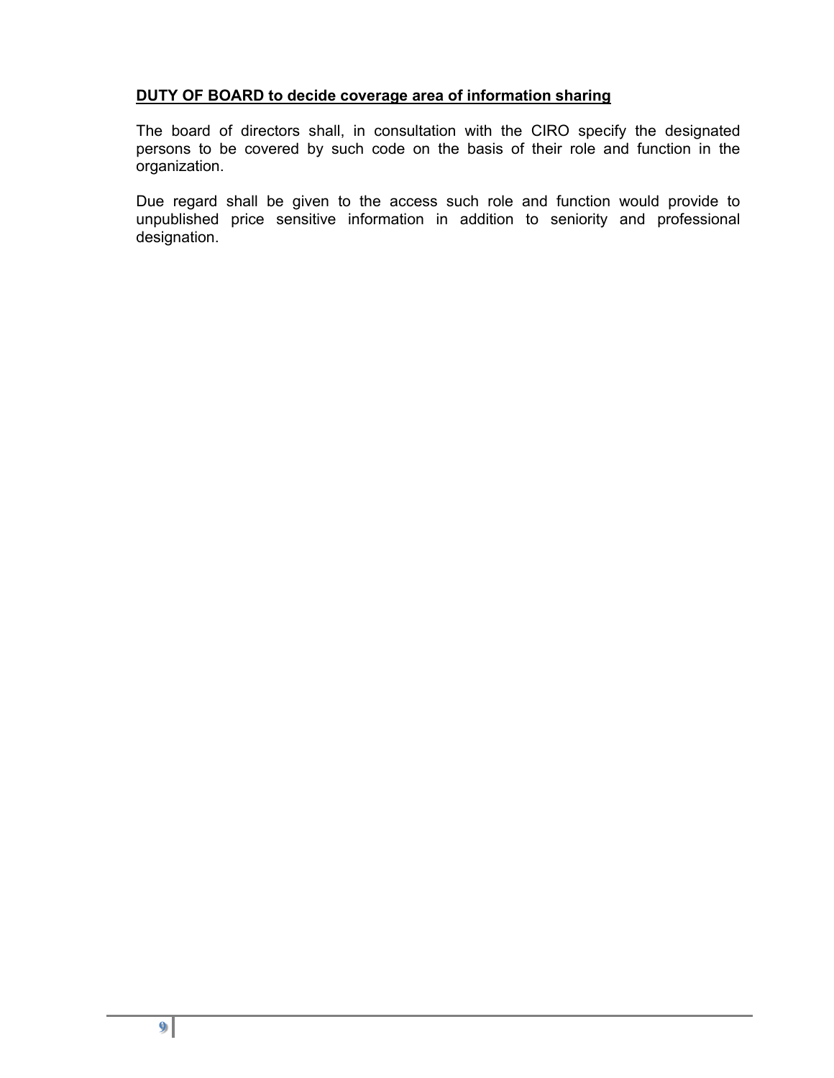# **DUTY OF BOARD to decide coverage area of information sharing**

The board of directors shall, in consultation with the CIRO specify the designated persons to be covered by such code on the basis of their role and function in the organization.

Due regard shall be given to the access such role and function would provide to unpublished price sensitive information in addition to seniority and professional designation.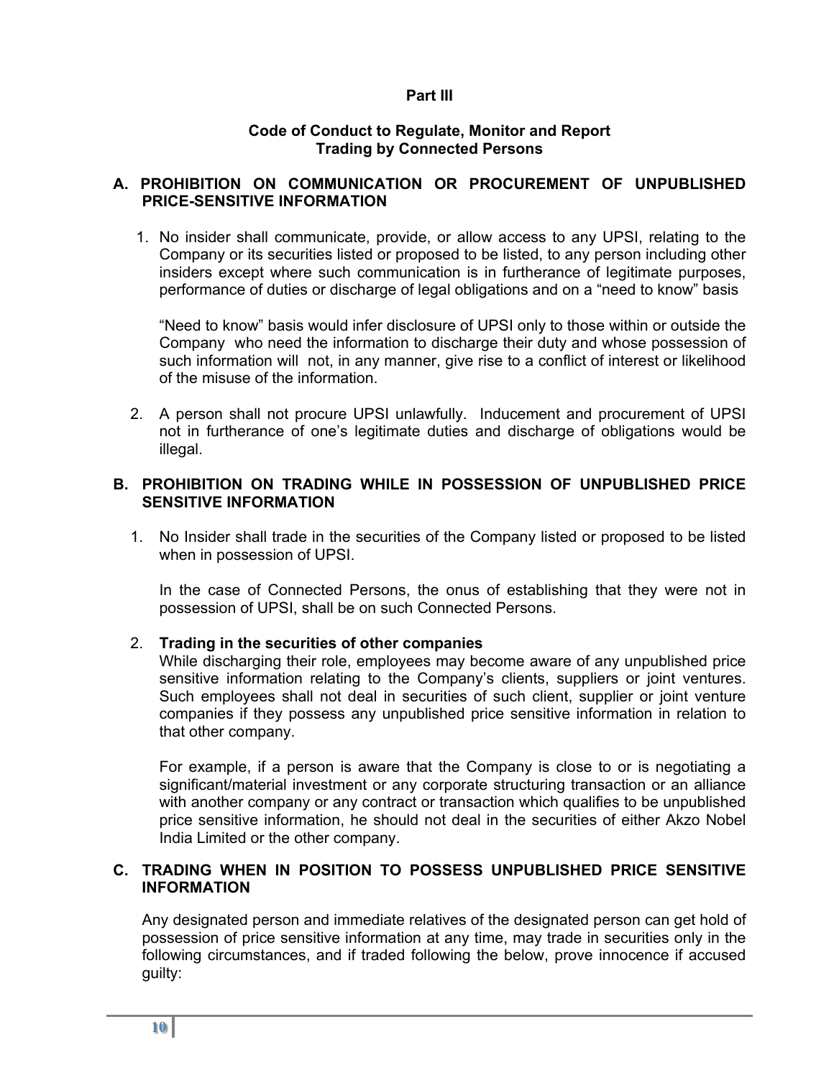### **Part III**

### **Code of Conduct to Regulate, Monitor and Report Trading by Connected Persons**

## **A. PROHIBITION ON COMMUNICATION OR PROCUREMENT OF UNPUBLISHED PRICE-SENSITIVE INFORMATION**

1. No insider shall communicate, provide, or allow access to any UPSI, relating to the Company or its securities listed or proposed to be listed, to any person including other insiders except where such communication is in furtherance of legitimate purposes, performance of duties or discharge of legal obligations and on a "need to know" basis

 "Need to know" basis would infer disclosure of UPSI only to those within or outside the Company who need the information to discharge their duty and whose possession of such information will not, in any manner, give rise to a conflict of interest or likelihood of the misuse of the information.

2. A person shall not procure UPSI unlawfully. Inducement and procurement of UPSI not in furtherance of one's legitimate duties and discharge of obligations would be illegal.

### **B. PROHIBITION ON TRADING WHILE IN POSSESSION OF UNPUBLISHED PRICE SENSITIVE INFORMATION**

1. No Insider shall trade in the securities of the Company listed or proposed to be listed when in possession of UPSI.

In the case of Connected Persons, the onus of establishing that they were not in possession of UPSI, shall be on such Connected Persons.

### 2. **Trading in the securities of other companies**

While discharging their role, employees may become aware of any unpublished price sensitive information relating to the Company's clients, suppliers or joint ventures. Such employees shall not deal in securities of such client, supplier or joint venture companies if they possess any unpublished price sensitive information in relation to that other company.

For example, if a person is aware that the Company is close to or is negotiating a significant/material investment or any corporate structuring transaction or an alliance with another company or any contract or transaction which qualifies to be unpublished price sensitive information, he should not deal in the securities of either Akzo Nobel India Limited or the other company.

# **C. TRADING WHEN IN POSITION TO POSSESS UNPUBLISHED PRICE SENSITIVE INFORMATION**

Any designated person and immediate relatives of the designated person can get hold of possession of price sensitive information at any time, may trade in securities only in the following circumstances, and if traded following the below, prove innocence if accused guilty: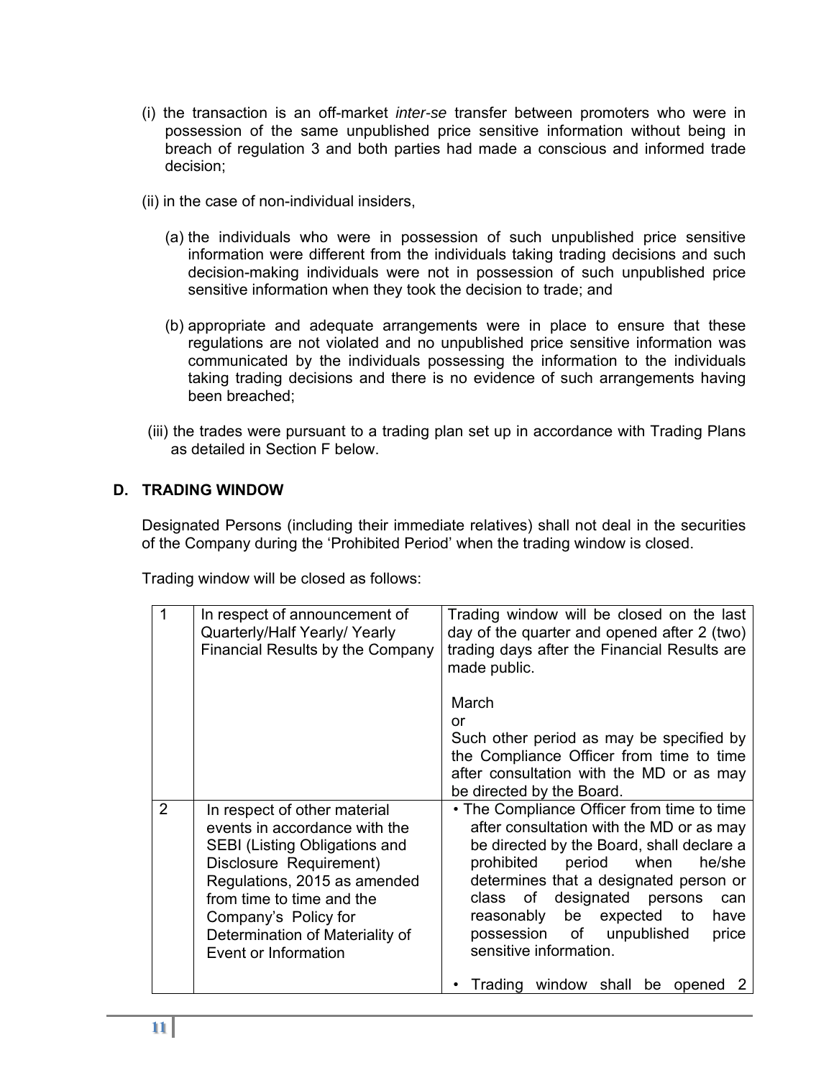- (i) the transaction is an off-market *inter-se* transfer between promoters who were in possession of the same unpublished price sensitive information without being in breach of regulation 3 and both parties had made a conscious and informed trade decision;
- (ii) in the case of non-individual insiders,
	- (a) the individuals who were in possession of such unpublished price sensitive information were different from the individuals taking trading decisions and such decision-making individuals were not in possession of such unpublished price sensitive information when they took the decision to trade; and
	- (b) appropriate and adequate arrangements were in place to ensure that these regulations are not violated and no unpublished price sensitive information was communicated by the individuals possessing the information to the individuals taking trading decisions and there is no evidence of such arrangements having been breached;
- (iii) the trades were pursuant to a trading plan set up in accordance with Trading Plans as detailed in Section F below.

# **D. TRADING WINDOW**

Designated Persons (including their immediate relatives) shall not deal in the securities of the Company during the 'Prohibited Period' when the trading window is closed.

Trading window will be closed as follows:

|   | In respect of announcement of<br>Quarterly/Half Yearly/Yearly<br>Financial Results by the Company                                                                                                                                                                                | Trading window will be closed on the last<br>day of the quarter and opened after 2 (two)<br>trading days after the Financial Results are<br>made public.                                                                                                                                                                                                                          |
|---|----------------------------------------------------------------------------------------------------------------------------------------------------------------------------------------------------------------------------------------------------------------------------------|-----------------------------------------------------------------------------------------------------------------------------------------------------------------------------------------------------------------------------------------------------------------------------------------------------------------------------------------------------------------------------------|
|   |                                                                                                                                                                                                                                                                                  | March<br>or<br>Such other period as may be specified by<br>the Compliance Officer from time to time<br>after consultation with the MD or as may<br>be directed by the Board.                                                                                                                                                                                                      |
| 2 | In respect of other material<br>events in accordance with the<br><b>SEBI (Listing Obligations and</b><br>Disclosure Requirement)<br>Regulations, 2015 as amended<br>from time to time and the<br>Company's Policy for<br>Determination of Materiality of<br>Event or Information | • The Compliance Officer from time to time<br>after consultation with the MD or as may<br>be directed by the Board, shall declare a<br>period<br>prohibited<br>when<br>he/she<br>determines that a designated person or<br>designated<br>of<br>persons<br>class<br>can<br>reasonably be<br>expected<br>to<br>have<br>possession of unpublished<br>price<br>sensitive information. |
|   |                                                                                                                                                                                                                                                                                  | Trading window shall be opened                                                                                                                                                                                                                                                                                                                                                    |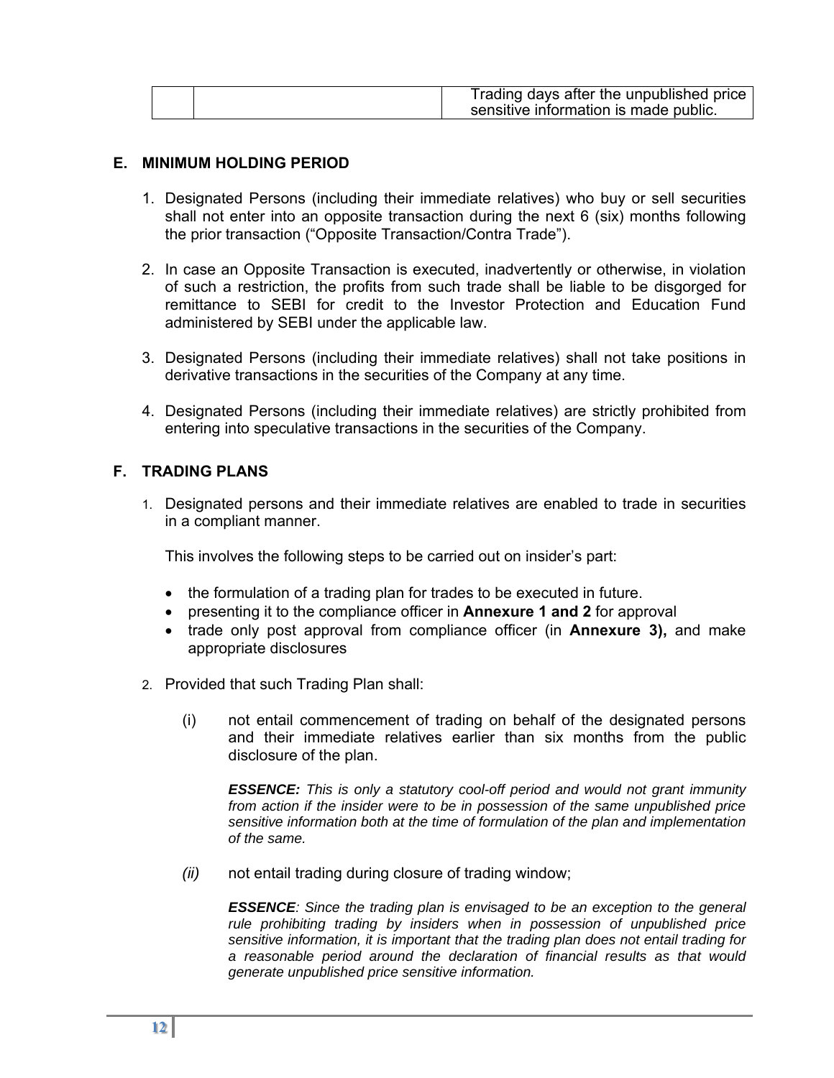### **E. MINIMUM HOLDING PERIOD**

- 1. Designated Persons (including their immediate relatives) who buy or sell securities shall not enter into an opposite transaction during the next 6 (six) months following the prior transaction ("Opposite Transaction/Contra Trade").
- 2. In case an Opposite Transaction is executed, inadvertently or otherwise, in violation of such a restriction, the profits from such trade shall be liable to be disgorged for remittance to SEBI for credit to the Investor Protection and Education Fund administered by SEBI under the applicable law.
- 3. Designated Persons (including their immediate relatives) shall not take positions in derivative transactions in the securities of the Company at any time.
- 4. Designated Persons (including their immediate relatives) are strictly prohibited from entering into speculative transactions in the securities of the Company.

### **F. TRADING PLANS**

1. Designated persons and their immediate relatives are enabled to trade in securities in a compliant manner.

This involves the following steps to be carried out on insider's part:

- the formulation of a trading plan for trades to be executed in future.
- presenting it to the compliance officer in **Annexure 1 and 2** for approval
- trade only post approval from compliance officer (in **Annexure 3)**, and make appropriate disclosures
- 2. Provided that such Trading Plan shall:
	- (i) not entail commencement of trading on behalf of the designated persons and their immediate relatives earlier than six months from the public disclosure of the plan.

*ESSENCE: This is only a statutory cool-off period and would not grant immunity from action if the insider were to be in possession of the same unpublished price sensitive information both at the time of formulation of the plan and implementation of the same.* 

*(ii)* not entail trading during closure of trading window;

*ESSENCE: Since the trading plan is envisaged to be an exception to the general rule prohibiting trading by insiders when in possession of unpublished price sensitive information, it is important that the trading plan does not entail trading for a reasonable period around the declaration of financial results as that would generate unpublished price sensitive information.*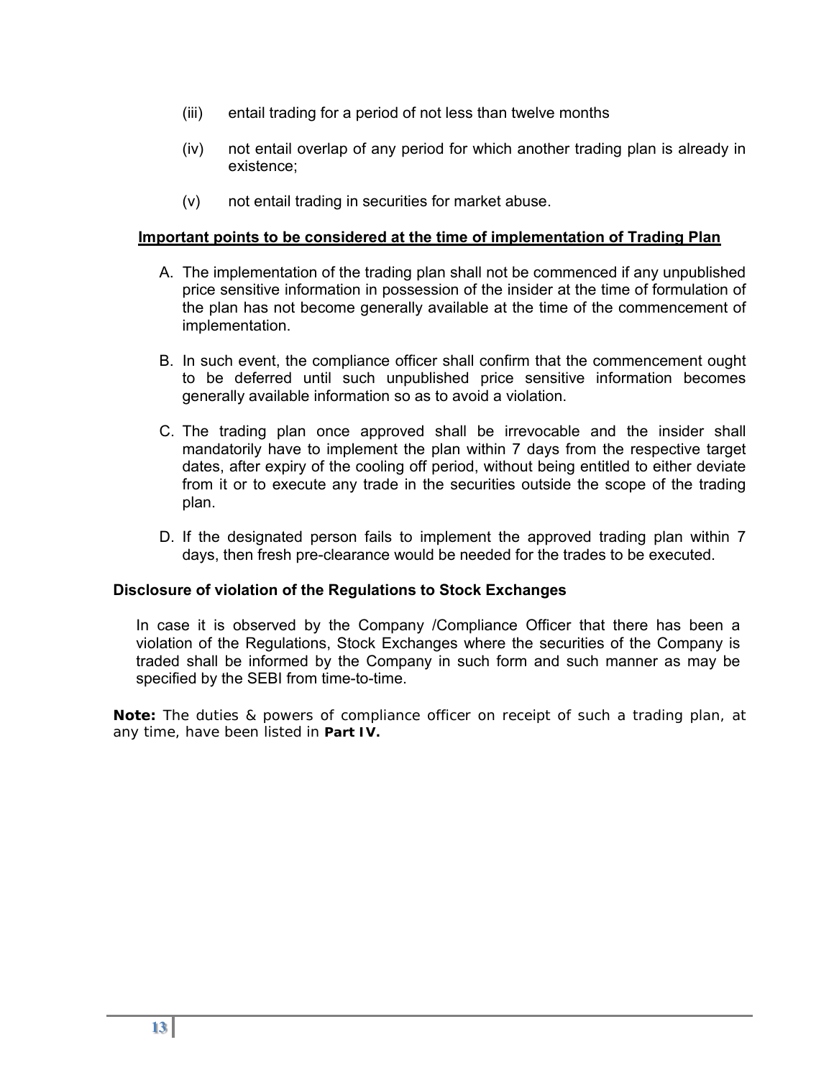- (iii) entail trading for a period of not less than twelve months
- (iv) not entail overlap of any period for which another trading plan is already in existence;
- (v) not entail trading in securities for market abuse.

### **Important points to be considered at the time of implementation of Trading Plan**

- A. The implementation of the trading plan shall not be commenced if any unpublished price sensitive information in possession of the insider at the time of formulation of the plan has not become generally available at the time of the commencement of implementation.
- B. In such event, the compliance officer shall confirm that the commencement ought to be deferred until such unpublished price sensitive information becomes generally available information so as to avoid a violation.
- C. The trading plan once approved shall be irrevocable and the insider shall mandatorily have to implement the plan within 7 days from the respective target dates, after expiry of the cooling off period, without being entitled to either deviate from it or to execute any trade in the securities outside the scope of the trading plan.
- D. If the designated person fails to implement the approved trading plan within 7 days, then fresh pre-clearance would be needed for the trades to be executed.

### **Disclosure of violation of the Regulations to Stock Exchanges**

In case it is observed by the Company /Compliance Officer that there has been a violation of the Regulations, Stock Exchanges where the securities of the Company is traded shall be informed by the Company in such form and such manner as may be specified by the SEBI from time-to-time.

**Note:** The duties & powers of compliance officer on receipt of such a trading plan, at any time, have been listed in **Part IV.**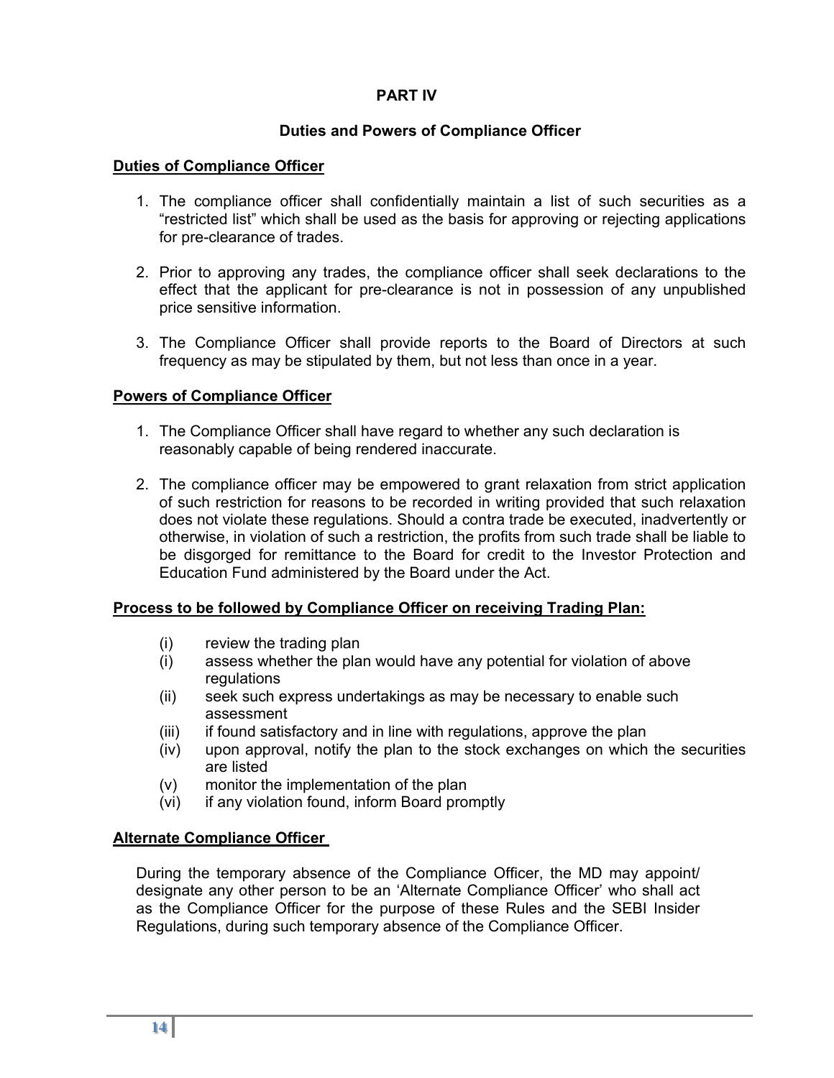# **PART IV**

# **Duties and Powers of Compliance Officer**

# **Duties of Compliance Officer**

- 1. The compliance officer shall confidentially maintain a list of such securities as a "restricted list" which shall be used as the basis for approving or rejecting applications for pre-clearance of trades.
- 2. Prior to approving any trades, the compliance officer shall seek declarations to the effect that the applicant for pre-clearance is not in possession of any unpublished price sensitive information.
- 3. The Compliance Officer shall provide reports to the Board of Directors at such frequency as may be stipulated by them, but not less than once in a year.

# **Powers of Compliance Officer**

- 1. The Compliance Officer shall have regard to whether any such declaration is reasonably capable of being rendered inaccurate.
- 2. The compliance officer may be empowered to grant relaxation from strict application of such restriction for reasons to be recorded in writing provided that such relaxation does not violate these regulations. Should a contra trade be executed, inadvertently or otherwise, in violation of such a restriction, the profits from such trade shall be liable to be disgorged for remittance to the Board for credit to the Investor Protection and Education Fund administered by the Board under the Act.

### **Process to be followed by Compliance Officer on receiving Trading Plan:**

- (i) review the trading plan
- (i) assess whether the plan would have any potential for violation of above regulations
- (ii) seek such express undertakings as may be necessary to enable such assessment
- (iii) if found satisfactory and in line with regulations, approve the plan
- (iv) upon approval, notify the plan to the stock exchanges on which the securities are listed
- (v) monitor the implementation of the plan
- (vi) if any violation found, inform Board promptly

# **Alternate Compliance Officer**

During the temporary absence of the Compliance Officer, the MD may appoint/ designate any other person to be an 'Alternate Compliance Officer' who shall act as the Compliance Officer for the purpose of these Rules and the SEBI Insider Regulations, during such temporary absence of the Compliance Officer.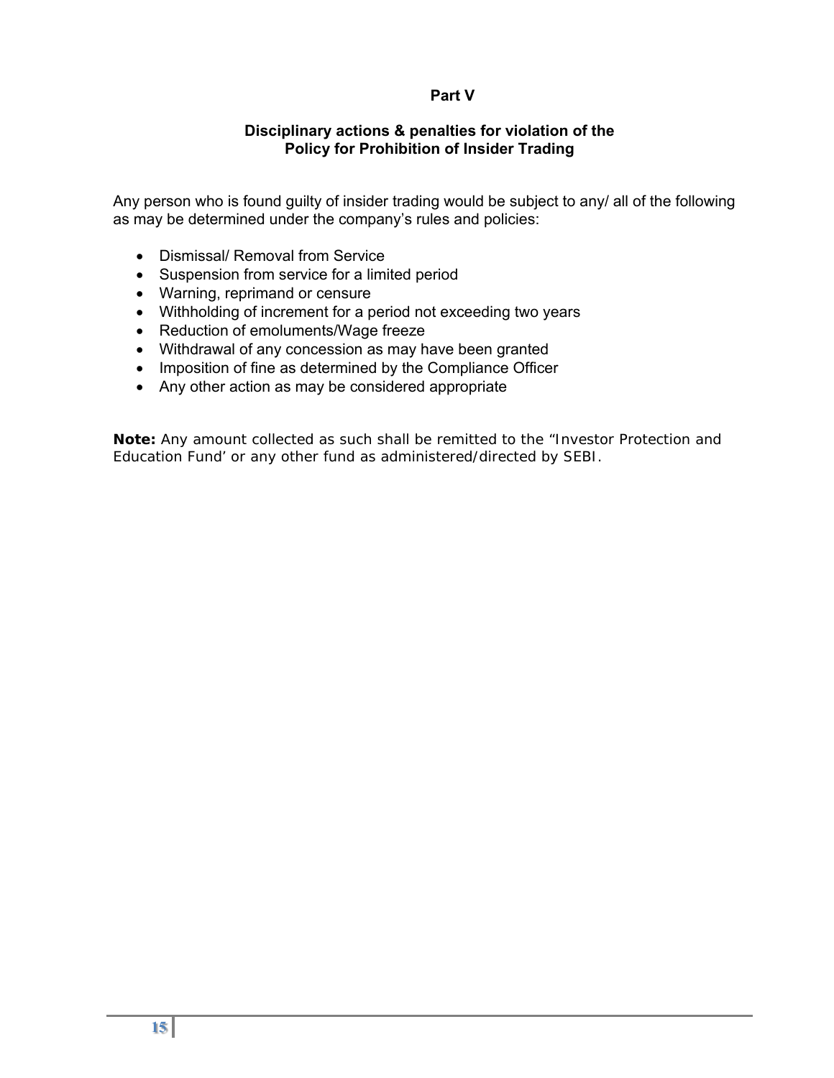# **Part V**

### **Disciplinary actions & penalties for violation of the Policy for Prohibition of Insider Trading**

Any person who is found guilty of insider trading would be subject to any/ all of the following as may be determined under the company's rules and policies:

- Dismissal/ Removal from Service
- Suspension from service for a limited period
- Warning, reprimand or censure
- Withholding of increment for a period not exceeding two years
- Reduction of emoluments/Wage freeze
- Withdrawal of any concession as may have been granted
- Imposition of fine as determined by the Compliance Officer
- Any other action as may be considered appropriate

**Note:** Any amount collected as such shall be remitted to the "Investor Protection and Education Fund' or any other fund as administered/directed by SEBI.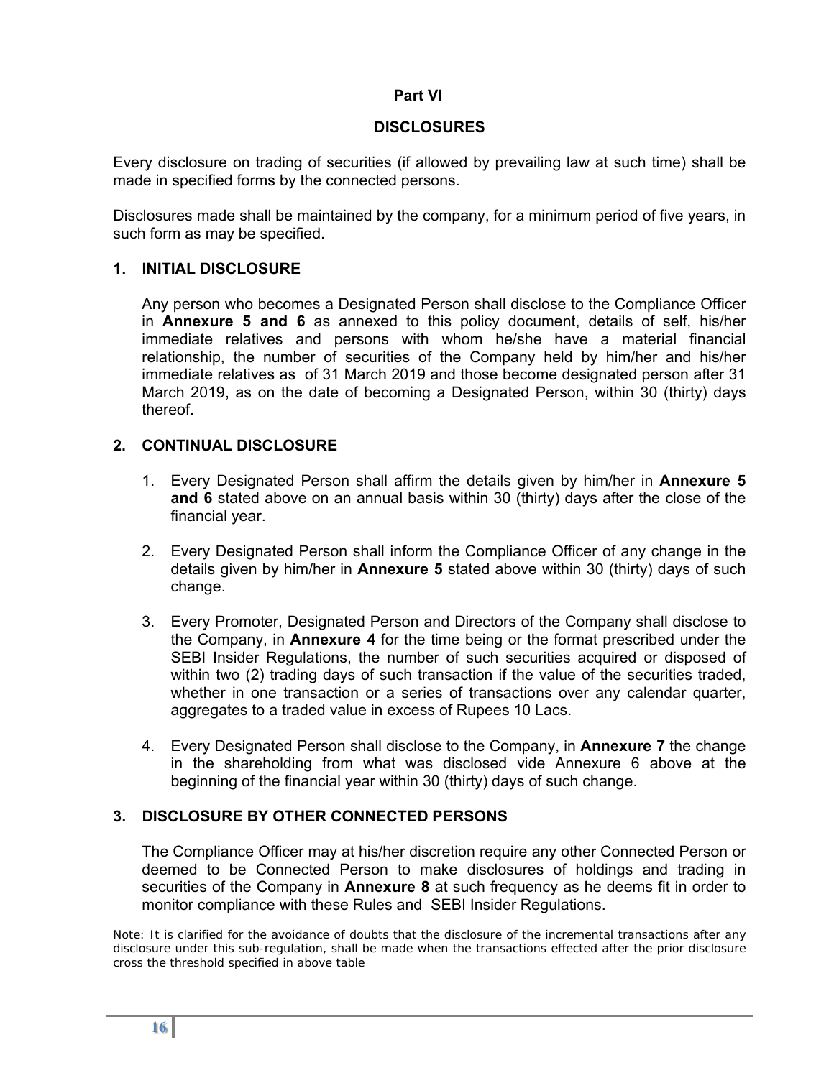# **Part VI**

# **DISCLOSURES**

Every disclosure on trading of securities (if allowed by prevailing law at such time) shall be made in specified forms by the connected persons.

Disclosures made shall be maintained by the company, for a minimum period of five years, in such form as may be specified.

# **1. INITIAL DISCLOSURE**

Any person who becomes a Designated Person shall disclose to the Compliance Officer in **Annexure 5 and 6** as annexed to this policy document, details of self, his/her immediate relatives and persons with whom he/she have a material financial relationship, the number of securities of the Company held by him/her and his/her immediate relatives as of 31 March 2019 and those become designated person after 31 March 2019, as on the date of becoming a Designated Person, within 30 (thirty) days thereof.

# **2. CONTINUAL DISCLOSURE**

- 1. Every Designated Person shall affirm the details given by him/her in **Annexure 5 and 6** stated above on an annual basis within 30 (thirty) days after the close of the financial year.
- 2. Every Designated Person shall inform the Compliance Officer of any change in the details given by him/her in **Annexure 5** stated above within 30 (thirty) days of such change.
- 3. Every Promoter, Designated Person and Directors of the Company shall disclose to the Company, in **Annexure 4** for the time being or the format prescribed under the SEBI Insider Regulations, the number of such securities acquired or disposed of within two (2) trading days of such transaction if the value of the securities traded, whether in one transaction or a series of transactions over any calendar quarter, aggregates to a traded value in excess of Rupees 10 Lacs.
- 4. Every Designated Person shall disclose to the Company, in **Annexure 7** the change in the shareholding from what was disclosed vide Annexure 6 above at the beginning of the financial year within 30 (thirty) days of such change.

# **3. DISCLOSURE BY OTHER CONNECTED PERSONS**

The Compliance Officer may at his/her discretion require any other Connected Person or deemed to be Connected Person to make disclosures of holdings and trading in securities of the Company in **Annexure 8** at such frequency as he deems fit in order to monitor compliance with these Rules and SEBI Insider Regulations.

*Note: It is clarified for the avoidance of doubts that the disclosure of the incremental transactions after any disclosure under this sub-regulation, shall be made when the transactions effected after the prior disclosure cross the threshold specified in above table*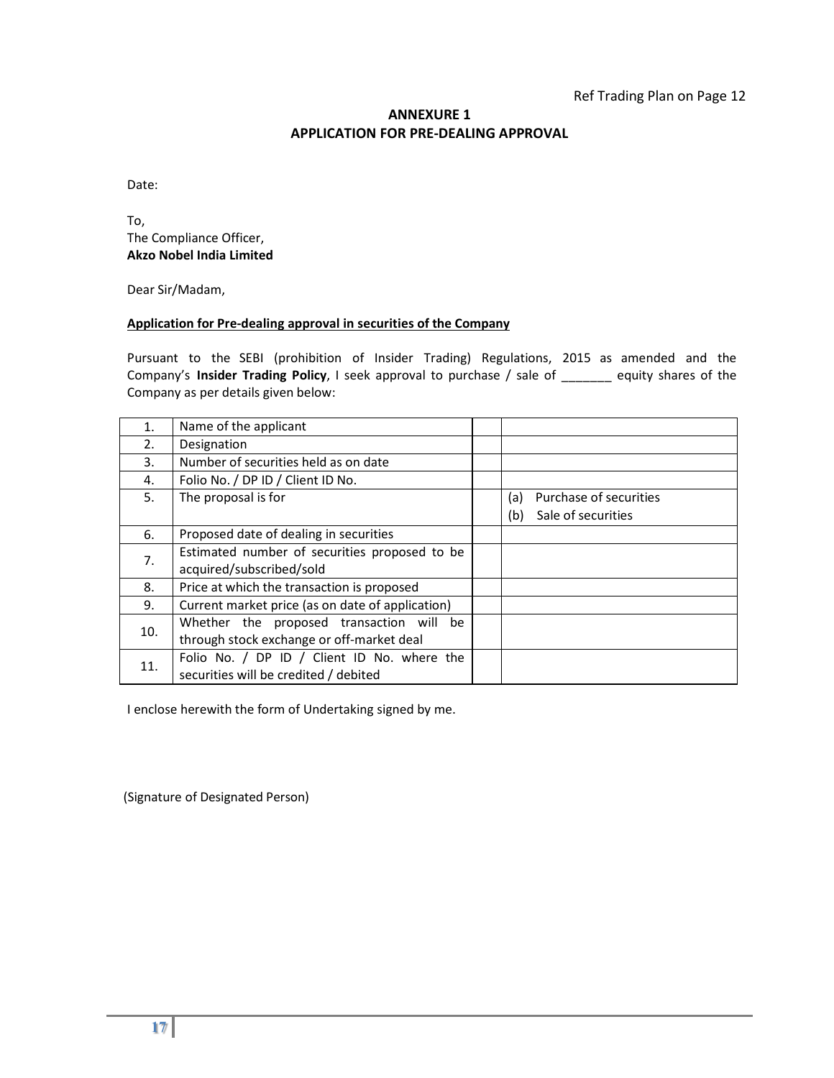### **ANNEXURE 1 APPLICATION FOR PRE‐DEALING APPROVAL**

Date:

To, The Compliance Officer, **Akzo Nobel India Limited**

Dear Sir/Madam,

#### **Application for Pre‐dealing approval in securities of the Company**

Pursuant to the SEBI (prohibition of Insider Trading) Regulations, 2015 as amended and the Company's **Insider Trading Policy**, I seek approval to purchase / sale of \_\_\_\_\_\_\_ equity shares of the Company as per details given below:

| 1.  | Name of the applicant                            |                               |
|-----|--------------------------------------------------|-------------------------------|
| 2.  | Designation                                      |                               |
| 3.  | Number of securities held as on date             |                               |
| 4.  | Folio No. / DP ID / Client ID No.                |                               |
| 5.  | The proposal is for                              | Purchase of securities<br>(a) |
|     |                                                  | Sale of securities<br>(b)     |
| 6.  | Proposed date of dealing in securities           |                               |
| 7.  | Estimated number of securities proposed to be    |                               |
|     | acquired/subscribed/sold                         |                               |
| 8.  | Price at which the transaction is proposed       |                               |
| 9.  | Current market price (as on date of application) |                               |
| 10. | Whether the proposed transaction will be         |                               |
|     | through stock exchange or off-market deal        |                               |
| 11. | Folio No. / DP ID / Client ID No. where the      |                               |
|     | securities will be credited / debited            |                               |

I enclose herewith the form of Undertaking signed by me.

(Signature of Designated Person)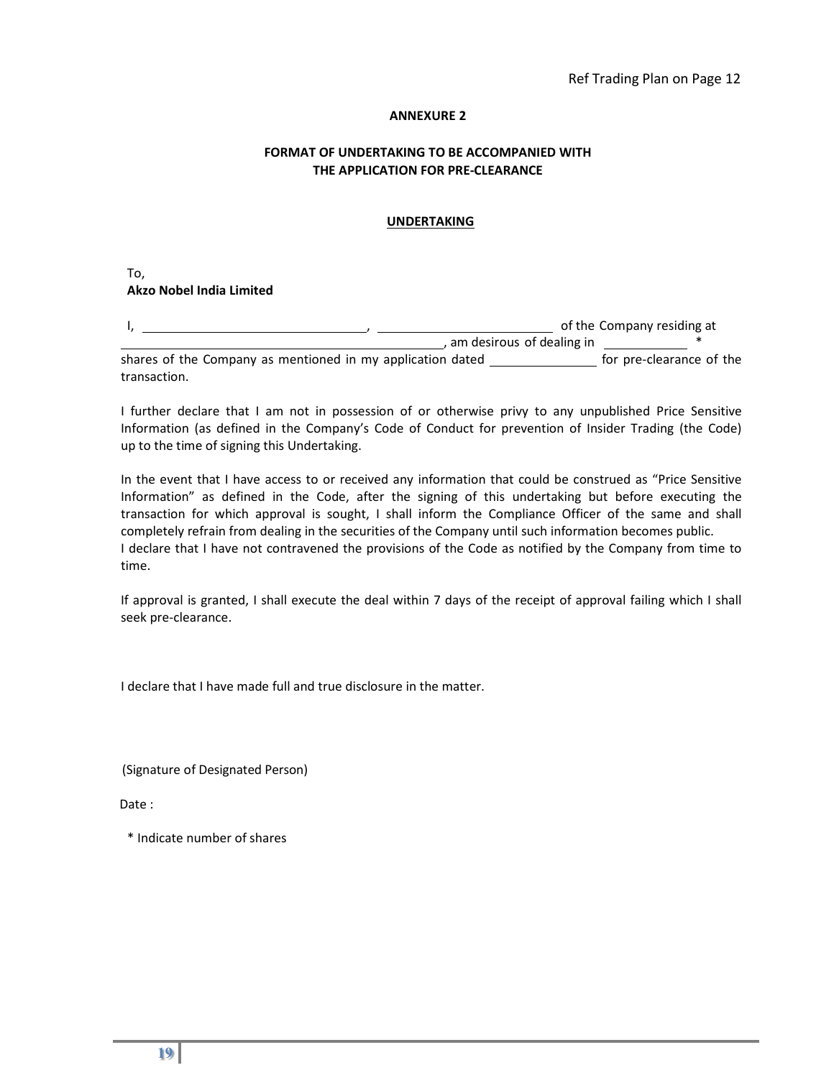#### **ANNEXURE 2**

#### **FORMAT OF UNDERTAKING TO BE ACCOMPANIED WITH THE APPLICATION FOR PRE‐CLEARANCE**

#### **UNDERTAKING**

To, **Akzo Nobel India Limited** 

|                                                            |                             | of the Company residing at |  |
|------------------------------------------------------------|-----------------------------|----------------------------|--|
|                                                            | , am desirous of dealing in |                            |  |
| shares of the Company as mentioned in my application dated |                             | for pre-clearance of the   |  |
| transaction.                                               |                             |                            |  |

I further declare that I am not in possession of or otherwise privy to any unpublished Price Sensitive Information (as defined in the Company's Code of Conduct for prevention of Insider Trading (the Code) up to the time of signing this Undertaking.

In the event that I have access to or received any information that could be construed as "Price Sensitive Information" as defined in the Code, after the signing of this undertaking but before executing the transaction for which approval is sought, I shall inform the Compliance Officer of the same and shall completely refrain from dealing in the securities of the Company until such information becomes public. I declare that I have not contravened the provisions of the Code as notified by the Company from time to time.

If approval is granted, I shall execute the deal within 7 days of the receipt of approval failing which I shall seek pre‐clearance.

I declare that I have made full and true disclosure in the matter.

(Signature of Designated Person)

Date :

\* Indicate number of shares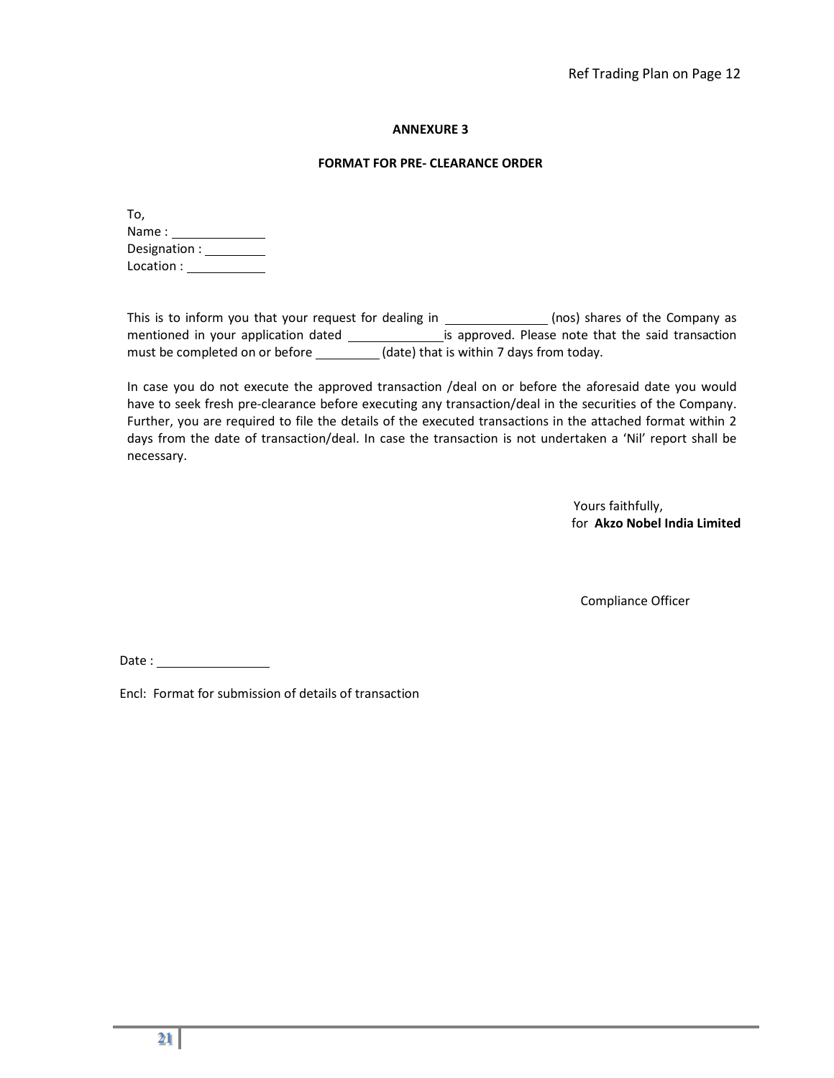#### **ANNEXURE 3**

#### **FORMAT FOR PRE‐ CLEARANCE ORDER**

| To,          |
|--------------|
| Name:        |
| Designation: |
| Location :   |

This is to inform you that your request for dealing in \_\_\_\_\_\_\_\_\_\_\_\_\_\_\_(nos) shares of the Company as mentioned in your application dated \_\_\_\_\_\_\_\_\_\_\_\_\_\_\_\_\_\_\_\_\_\_is approved. Please note that the said transaction must be completed on or before \_\_\_\_\_\_\_\_\_(date) that is within 7 days from today.

In case you do not execute the approved transaction /deal on or before the aforesaid date you would have to seek fresh pre-clearance before executing any transaction/deal in the securities of the Company. Further, you are required to file the details of the executed transactions in the attached format within 2 days from the date of transaction/deal. In case the transaction is not undertaken a 'Nil' report shall be necessary.

> Yours faithfully, for **Akzo Nobel India Limited**

Compliance Officer

Date : and the state of the state of the state of the state of the state of the state of the state of the state of the state of the state of the state of the state of the state of the state of the state of the state of the

Encl: Format for submission of details of transaction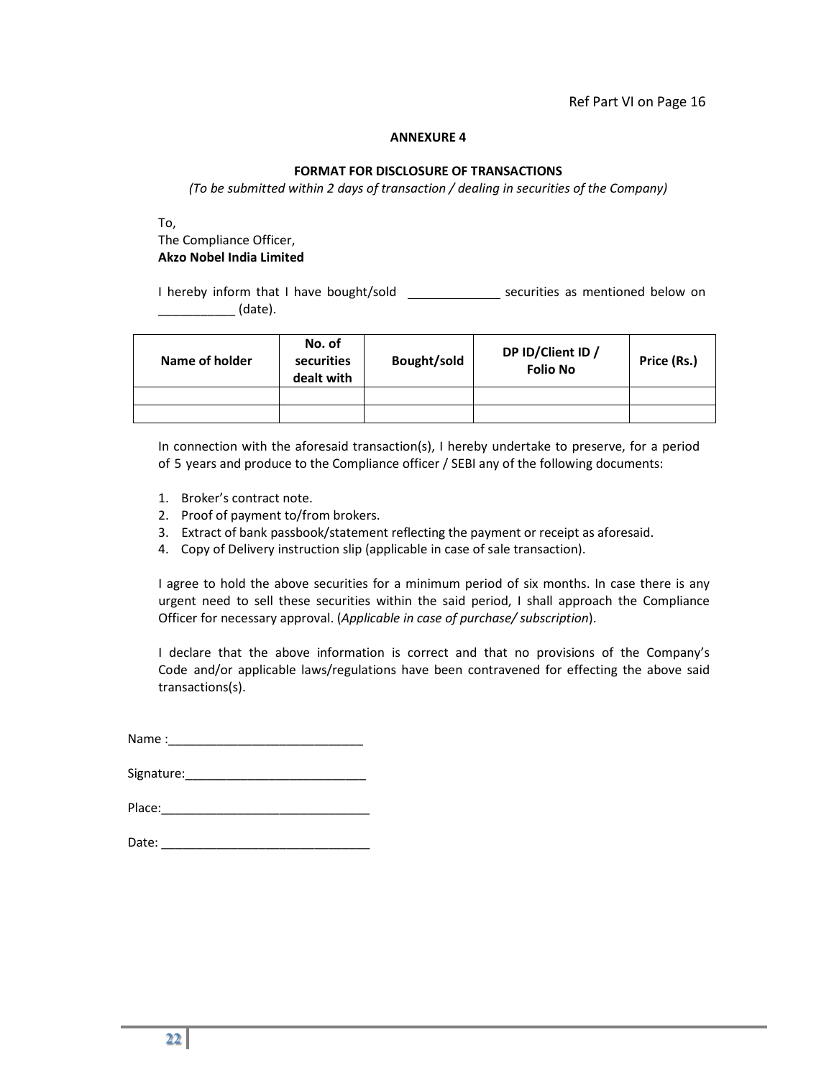#### **ANNEXURE 4**

#### **FORMAT FOR DISCLOSURE OF TRANSACTIONS**

*(To be submitted within 2 days of transaction / dealing in securities of the Company)*

To,

#### The Compliance Officer, **Akzo Nobel India Limited**

I hereby inform that I have bought/sold \_\_\_\_\_\_\_\_\_\_\_\_\_\_\_\_\_\_\_ securities as mentioned below on \_\_\_\_\_\_\_\_\_\_\_ (date).

| Name of holder | No. of<br>securities<br>dealt with | Bought/sold | DP ID/Client ID /<br><b>Folio No</b> | Price (Rs.) |
|----------------|------------------------------------|-------------|--------------------------------------|-------------|
|                |                                    |             |                                      |             |
|                |                                    |             |                                      |             |

In connection with the aforesaid transaction(s), I hereby undertake to preserve, for a period of 5 years and produce to the Compliance officer / SEBI any of the following documents:

- 1. Broker's contract note.
- 2. Proof of payment to/from brokers.
- 3. Extract of bank passbook/statement reflecting the payment or receipt as aforesaid.
- 4. Copy of Delivery instruction slip (applicable in case of sale transaction).

I agree to hold the above securities for a minimum period of six months. In case there is any urgent need to sell these securities within the said period, I shall approach the Compliance Officer for necessary approval. (*Applicable in case of purchase/ subscription*).

I declare that the above information is correct and that no provisions of the Company's Code and/or applicable laws/regulations have been contravened for effecting the above said transactions(s).

| Name: |  |  |  |
|-------|--|--|--|
|       |  |  |  |

| Place: |  |  |  |  |
|--------|--|--|--|--|
|        |  |  |  |  |

| Date: |  |
|-------|--|
|       |  |
|       |  |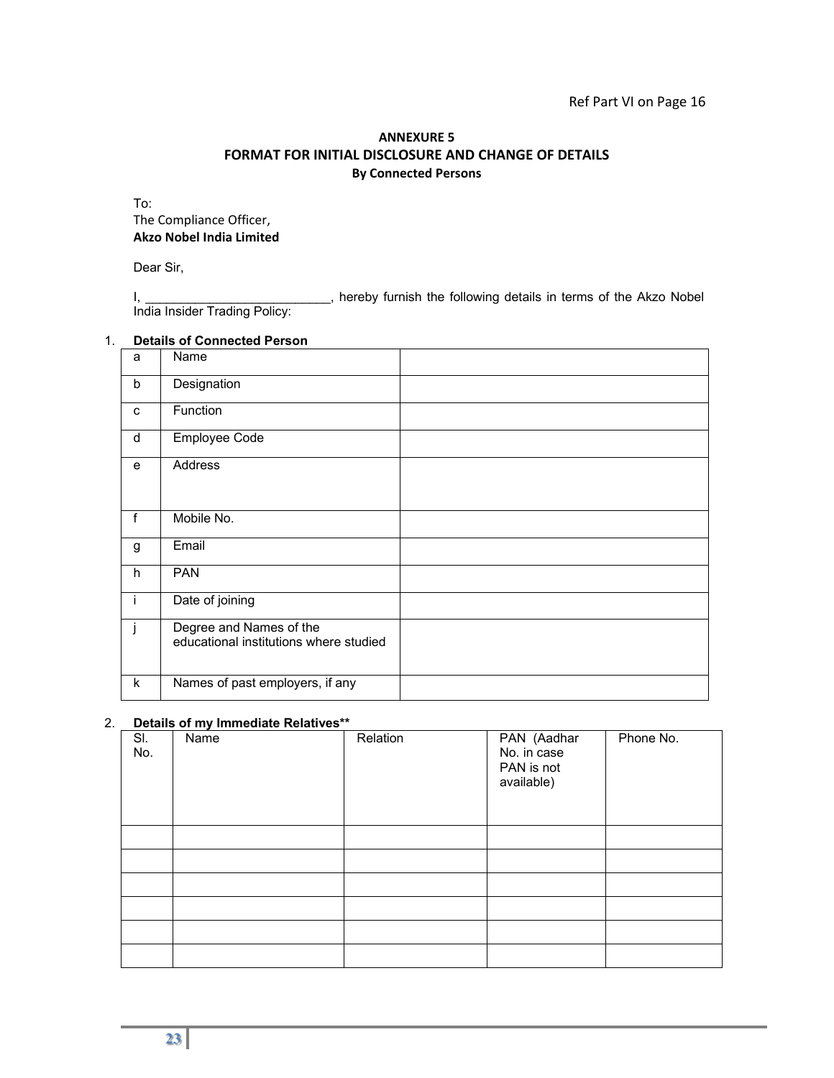#### Ref Part VI on Page 16

#### **ANNEXURE 5 FORMAT FOR INITIAL DISCLOSURE AND CHANGE OF DETAILS By Connected Persons**

To: The Compliance Officer, **Akzo Nobel India Limited** 

Dear Sir,

I, hereby furnish the following details in terms of the Akzo Nobel India Insider Trading Policy:

#### 1. **Details of Connected Person**

| a  | Name                                                              |  |
|----|-------------------------------------------------------------------|--|
| b  | Designation                                                       |  |
| C  | Function                                                          |  |
| d  | Employee Code                                                     |  |
| e  | Address                                                           |  |
| f  | Mobile No.                                                        |  |
| g  | Email                                                             |  |
| h  | <b>PAN</b>                                                        |  |
| Τ. | Date of joining                                                   |  |
|    | Degree and Names of the<br>educational institutions where studied |  |
| k  | Names of past employers, if any                                   |  |

#### 2. **Details of my Immediate Relatives\*\***

| SI.<br>No. | Name | Relation | PAN (Aadhar<br>No. in case<br>PAN is not<br>available) | Phone No. |
|------------|------|----------|--------------------------------------------------------|-----------|
|            |      |          |                                                        |           |
|            |      |          |                                                        |           |
|            |      |          |                                                        |           |
|            |      |          |                                                        |           |
|            |      |          |                                                        |           |
|            |      |          |                                                        |           |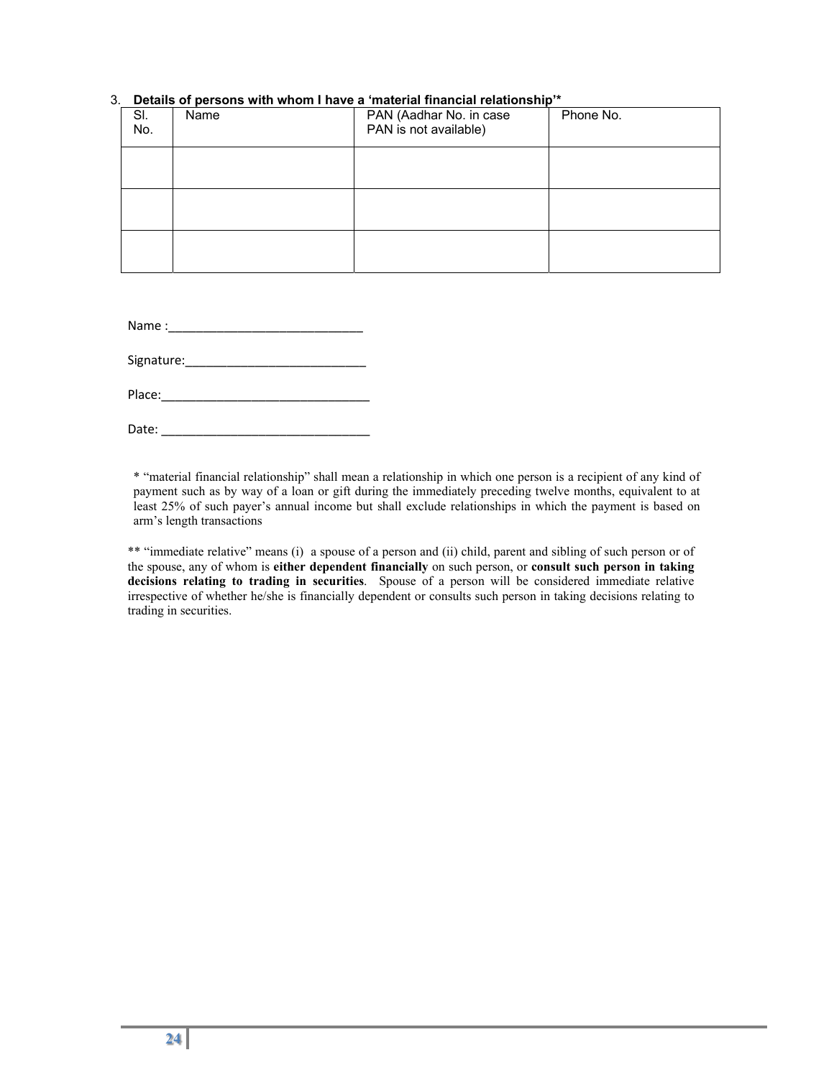| $\alpha$ . Details of persons with whom I have a material imancial relationship |      |                                                  |           |  |  |  |  |  |  |
|---------------------------------------------------------------------------------|------|--------------------------------------------------|-----------|--|--|--|--|--|--|
| SI.<br>No.                                                                      | Name | PAN (Aadhar No. in case<br>PAN is not available) | Phone No. |  |  |  |  |  |  |
|                                                                                 |      |                                                  |           |  |  |  |  |  |  |
|                                                                                 |      |                                                  |           |  |  |  |  |  |  |
|                                                                                 |      |                                                  |           |  |  |  |  |  |  |

#### 3. **Details of persons with whom I have a 'material financial relationship'\***

| Name: |  |  |  |
|-------|--|--|--|
|       |  |  |  |

Signature:

| Place: |  |  |  |  |  |
|--------|--|--|--|--|--|
|        |  |  |  |  |  |

Date:

\* "material financial relationship" shall mean a relationship in which one person is a recipient of any kind of payment such as by way of a loan or gift during the immediately preceding twelve months, equivalent to at least 25% of such payer's annual income but shall exclude relationships in which the payment is based on arm's length transactions

\*\* "immediate relative" means (i) a spouse of a person and (ii) child, parent and sibling of such person or of the spouse, any of whom is **either dependent financially** on such person, or **consult such person in taking decisions relating to trading in securities**. Spouse of a person will be considered immediate relative irrespective of whether he/she is financially dependent or consults such person in taking decisions relating to trading in securities.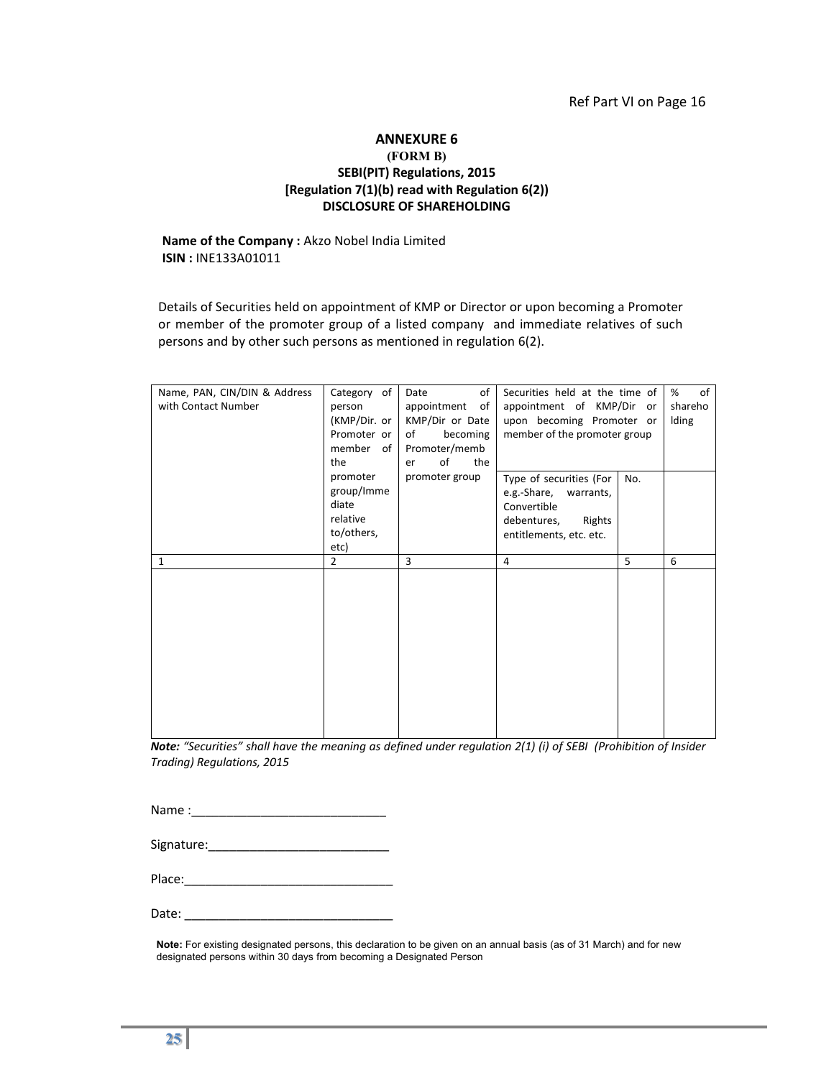#### **ANNEXURE 6 (FORM B) SEBI(PIT) Regulations, 2015 [Regulation 7(1)(b) read with Regulation 6(2)) DISCLOSURE OF SHAREHOLDING**

#### **Name of the Company :** Akzo Nobel India Limited **ISIN :** INE133A01011

Details of Securities held on appointment of KMP or Director or upon becoming a Promoter or member of the promoter group of a listed company and immediate relatives of such persons and by other such persons as mentioned in regulation 6(2).

| Name, PAN, CIN/DIN & Address<br>with Contact Number | Category of<br>person<br>(KMP/Dir. or  <br>Promoter or<br>member<br>of I<br>the | of<br>Date<br>appointment of<br>KMP/Dir or Date<br>of<br>becoming<br>Promoter/memb<br>of<br>the<br>er | Securities held at the time of<br>appointment of KMP/Dir or<br>upon becoming Promoter or<br>member of the promoter group   | of<br>%<br>shareho<br>Iding |
|-----------------------------------------------------|---------------------------------------------------------------------------------|-------------------------------------------------------------------------------------------------------|----------------------------------------------------------------------------------------------------------------------------|-----------------------------|
|                                                     | promoter<br>group/Imme<br>diate<br>relative<br>to/others,<br>etc)               | promoter group                                                                                        | Type of securities (For<br>No.<br>e.g.-Share, warrants,<br>Convertible<br>debentures,<br>Rights<br>entitlements, etc. etc. |                             |
| 1                                                   | $\overline{2}$                                                                  | 3                                                                                                     | 5<br>4                                                                                                                     | 6                           |
|                                                     |                                                                                 |                                                                                                       |                                                                                                                            |                             |

*Note: "Securities" shall have the meaning as defined under regulation 2(1) (i) of SEBI (Prohibition of Insider Trading) Regulations, 2015* 

| Name: |  |
|-------|--|
|       |  |

| Signature: |  |
|------------|--|
|------------|--|

Place:

| Date: |  |  |  |
|-------|--|--|--|
|       |  |  |  |

**Note:** For existing designated persons, this declaration to be given on an annual basis (as of 31 March) and for new designated persons within 30 days from becoming a Designated Person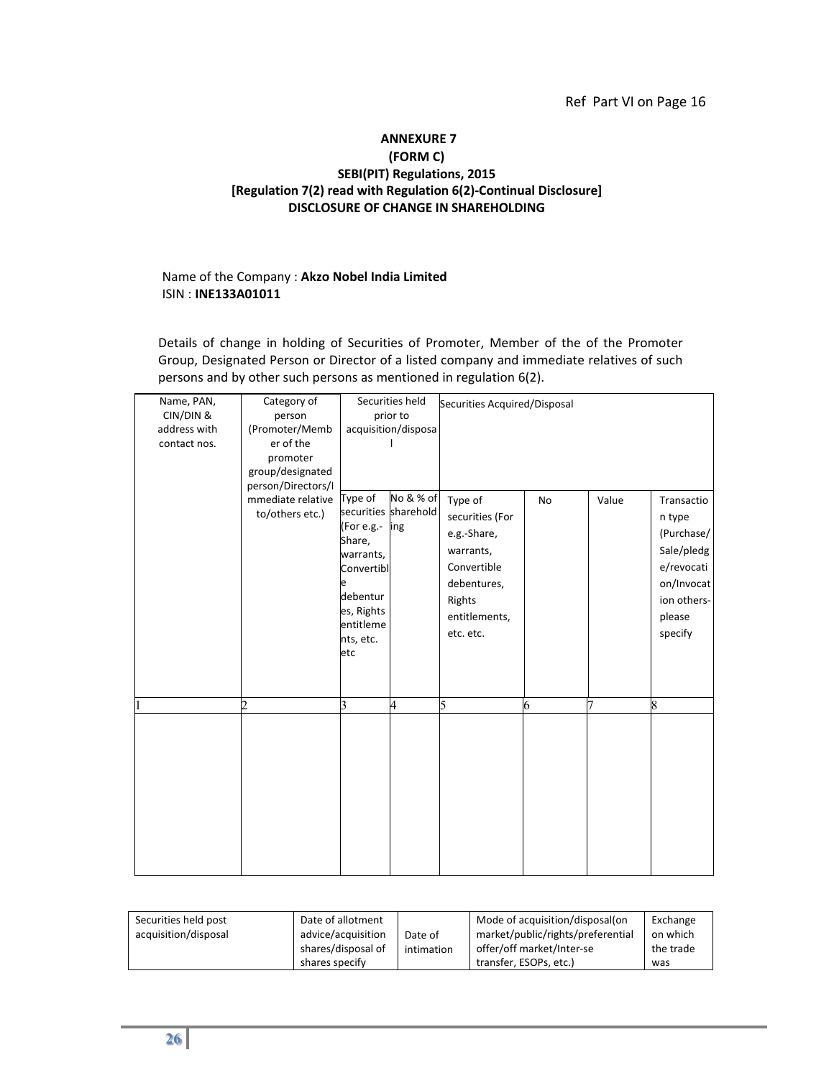#### Ref Part VI on Page 16

#### **ANNEXURE 7 (FORM C) SEBI(PIT) Regulations, 2015 [Regulation 7(2) read with Regulation 6(2)‐Continual Disclosure] DISCLOSURE OF CHANGE IN SHAREHOLDING**

#### Name of the Company : **Akzo Nobel India Limited** ISIN : **INE133A01011**

Details of change in holding of Securities of Promoter, Member of the of the Promoter Group, Designated Person or Director of a listed company and immediate relatives of such persons and by other such persons as mentioned in regulation 6(2).

| Name, PAN,   | Category of                                                     |                                                                                                                                                    | Securities held     | Securities Acquired/Disposal                                                                                                 |    |       |                                                                                                                  |
|--------------|-----------------------------------------------------------------|----------------------------------------------------------------------------------------------------------------------------------------------------|---------------------|------------------------------------------------------------------------------------------------------------------------------|----|-------|------------------------------------------------------------------------------------------------------------------|
| CIN/DIN &    | person                                                          | prior to                                                                                                                                           |                     |                                                                                                                              |    |       |                                                                                                                  |
| address with | (Promoter/Memb                                                  |                                                                                                                                                    | acquisition/disposa |                                                                                                                              |    |       |                                                                                                                  |
| contact nos. | er of the<br>promoter<br>group/designated<br>person/Directors/I |                                                                                                                                                    |                     |                                                                                                                              |    |       |                                                                                                                  |
|              | mmediate relative<br>to/others etc.)                            | Type of<br>securities sharehold<br>(For e.g.-<br>Share,<br>warrants,<br>Convertibl<br>è<br>debentur<br>es, Rights<br>entitleme<br>nts, etc.<br>etc | No & % of<br>ing    | Type of<br>securities (For<br>e.g.-Share,<br>warrants,<br>Convertible<br>debentures,<br>Rights<br>entitlements,<br>etc. etc. | No | Value | Transactio<br>n type<br>(Purchase/<br>Sale/pledg<br>e/revocati<br>on/Invocat<br>ion others-<br>please<br>specify |
|              | $\mathcal{D}$                                                   | R                                                                                                                                                  | 4                   | 5                                                                                                                            | 6  | 7     | 8                                                                                                                |
|              |                                                                 |                                                                                                                                                    |                     |                                                                                                                              |    |       |                                                                                                                  |

| Securities held post | Date of allotment  |            | Mode of acquisition/disposal(on   | Exchange  |
|----------------------|--------------------|------------|-----------------------------------|-----------|
| acquisition/disposal | advice/acquisition | Date of    | market/public/rights/preferential | on which  |
|                      | shares/disposal of | intimation | offer/off market/Inter-se         | the trade |
|                      | shares specify     |            | transfer, ESOPs, etc.)            | was       |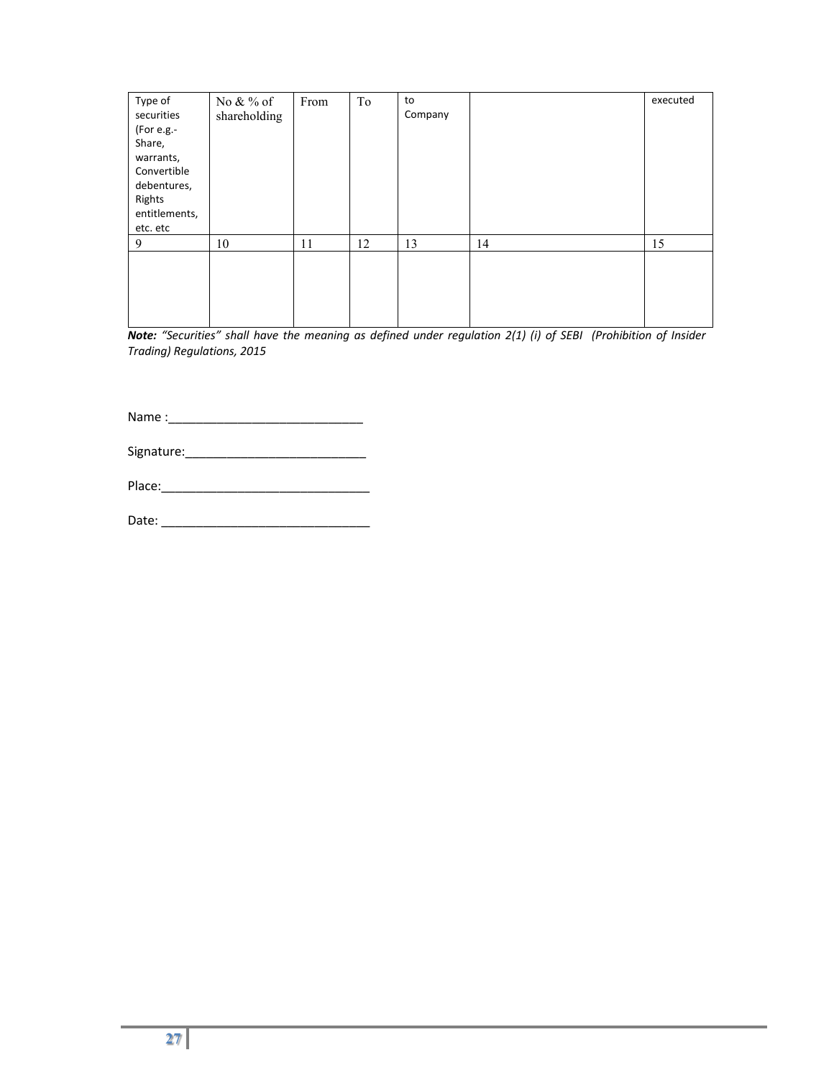| Type of<br>securities<br>(For e.g.-<br>Share,<br>warrants,<br>Convertible<br>debentures,<br>Rights<br>entitlements,<br>etc. etc | No $&\%$ of<br>shareholding | From | To | to<br>Company |    | executed |
|---------------------------------------------------------------------------------------------------------------------------------|-----------------------------|------|----|---------------|----|----------|
| 9                                                                                                                               | 10                          | 11   | 12 | 13            | 14 | 15       |
|                                                                                                                                 |                             |      |    |               |    |          |

*Note: "Securities" shall have the meaning as defined under regulation 2(1) (i) of SEBI (Prohibition of Insider Trading) Regulations, 2015* 

Name :\_\_\_\_\_\_\_\_\_\_\_\_\_\_\_\_\_\_\_\_\_\_\_\_\_\_\_\_

| Signature: |  |
|------------|--|
|------------|--|

| Place: |  |  |
|--------|--|--|
|        |  |  |
|        |  |  |
|        |  |  |

Date: \_\_\_\_\_\_\_\_\_\_\_\_\_\_\_\_\_\_\_\_\_\_\_\_\_\_\_\_\_\_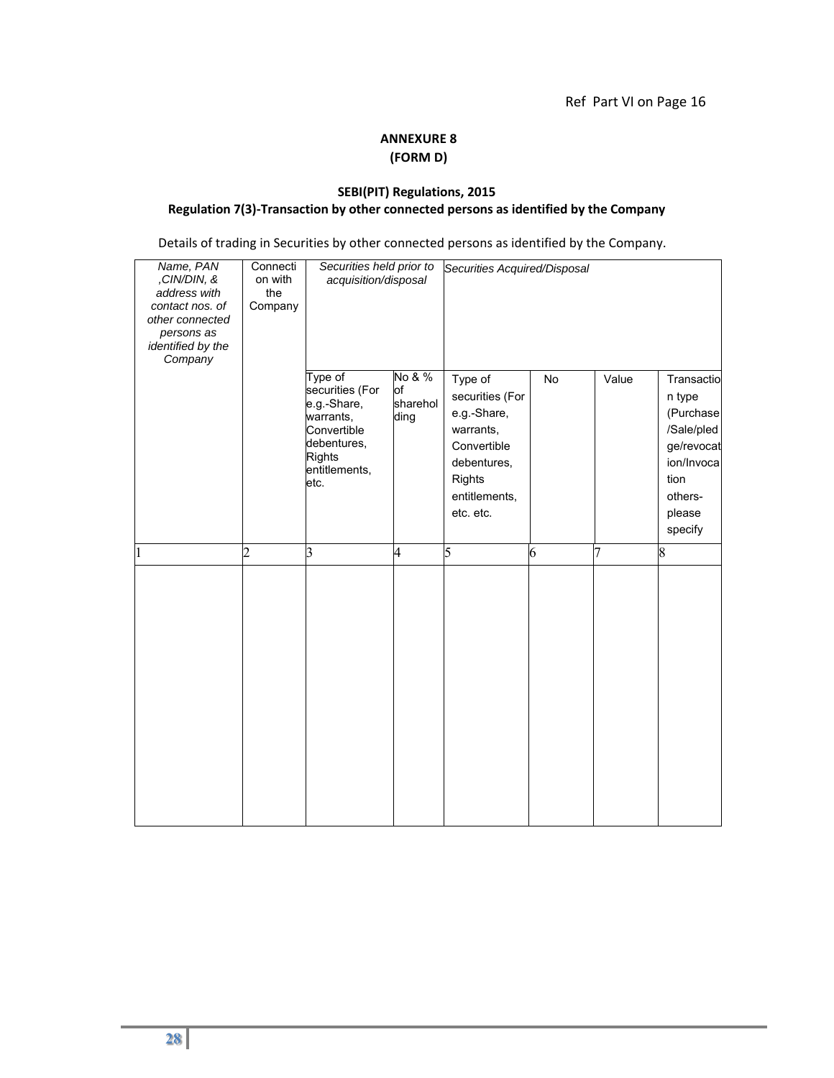### **ANNEXURE 8 (FORM D)**

#### **SEBI(PIT) Regulations, 2015 Regulation 7(3)‐Transaction by other connected persons as identified by the Company**

Details of trading in Securities by other connected persons as identified by the Company.

| Name, PAN<br>,CIN/DIN, &<br>address with<br>contact nos. of<br>other connected<br>persons as<br>identified by the<br>Company | Connecti<br>on with<br>the<br>Company | Securities held prior to<br>acquisition/disposal                                                                        |                                  | Securities Acquired/Disposal                                                                                                        |    |                |                                                                                                                     |
|------------------------------------------------------------------------------------------------------------------------------|---------------------------------------|-------------------------------------------------------------------------------------------------------------------------|----------------------------------|-------------------------------------------------------------------------------------------------------------------------------------|----|----------------|---------------------------------------------------------------------------------------------------------------------|
|                                                                                                                              |                                       | Type of<br>securities (For<br>e.g.-Share,<br>warrants,<br>Convertible<br>debentures,<br>Rights<br>entitlements,<br>etc. | No & %<br>of<br>sharehol<br>ding | Type of<br>securities (For<br>e.g.-Share,<br>warrants,<br>Convertible<br>debentures,<br><b>Rights</b><br>entitlements,<br>etc. etc. | No | Value          | Transactio<br>n type<br>(Purchase<br>/Sale/pled<br>ge/revocat<br>ion/Invoca<br>tion<br>others-<br>please<br>specify |
| 1                                                                                                                            | $\overline{2}$                        | 3                                                                                                                       | 4                                | 5                                                                                                                                   | 6  | $\overline{7}$ | 8                                                                                                                   |
|                                                                                                                              |                                       |                                                                                                                         |                                  |                                                                                                                                     |    |                |                                                                                                                     |